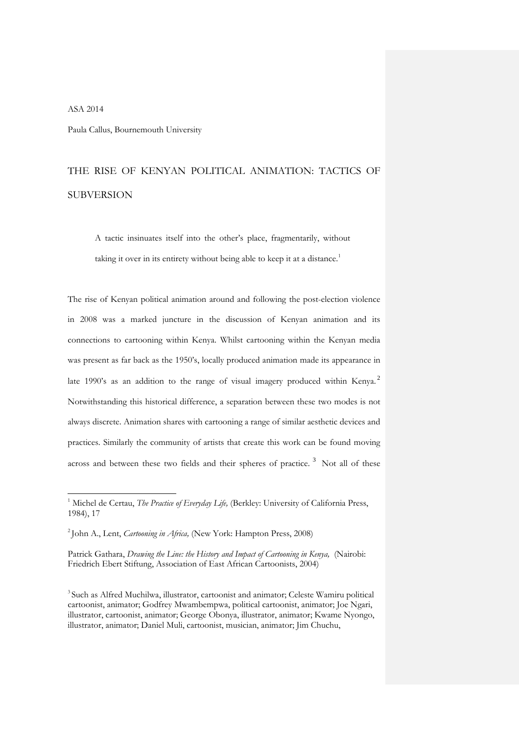## ASA 2014

j

Paula Callus, Bournemouth University

# THE RISE OF KENYAN POLITICAL ANIMATION: TACTICS OF SUBVERSION

A tactic insinuates itself into the other's place, fragmentarily, without taking it over in its entirety without being able to keep it at a distance.<sup>[1](#page-0-0)</sup>

The rise of Kenyan political animation around and following the post-election violence in 2008 was a marked juncture in the discussion of Kenyan animation and its connections to cartooning within Kenya. Whilst cartooning within the Kenyan media was present as far back as the 1950's, locally produced animation made its appearance in late 1990's as an addition to the range of visual imagery produced within Kenya.<sup>[2](#page-0-1)</sup> Notwithstanding this historical difference, a separation between these two modes is not always discrete. Animation shares with cartooning a range of similar aesthetic devices and practices. Similarly the community of artists that create this work can be found moving across and between these two fields and their spheres of practice.<sup>[3](#page-0-2)</sup> Not all of these

<sup>&</sup>lt;sup>1</sup> Michel de Certau, *The Practice of Everyday Life*, (Berkley: University of California Press, 1984), 17

<span id="page-0-0"></span><sup>2</sup> John A., Lent, *Cartooning in Africa,* (New York: Hampton Press, 2008)

<span id="page-0-1"></span>Patrick Gathara, *Drawing the Line: the History and Impact of Cartooning in Kenya,* (Nairobi: Friedrich Ebert Stiftung, Association of East African Cartoonists, 2004)

<span id="page-0-2"></span><sup>&</sup>lt;sup>3</sup> Such as Alfred Muchilwa, illustrator, cartoonist and animator; Celeste Wamiru political cartoonist, animator; Godfrey Mwambempwa, political cartoonist, animator; Joe Ngari, illustrator, cartoonist, animator; George Obonya, illustrator, animator; Kwame Nyongo, illustrator, animator; Daniel Muli, cartoonist, musician, animator; Jim Chuchu,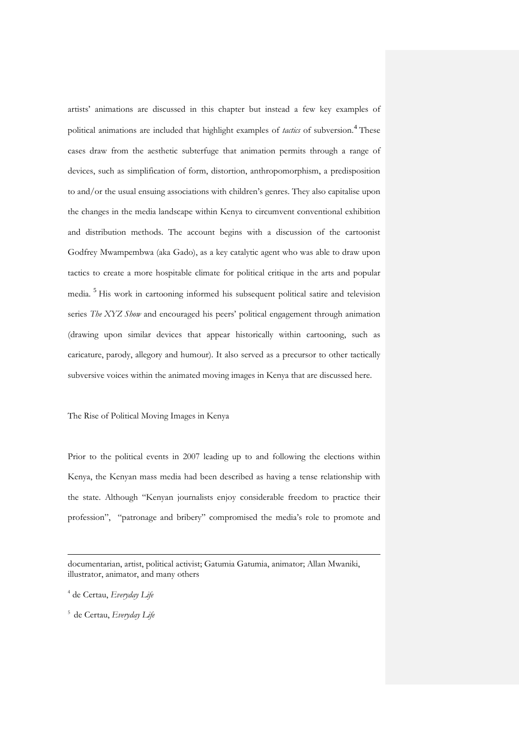artists' animations are discussed in this chapter but instead a few key examples of political animations are included that highlight examples of *tactics* of subversion. [4](#page-1-0) These cases draw from the aesthetic subterfuge that animation permits through a range of devices, such as simplification of form, distortion, anthropomorphism, a predisposition to and/or the usual ensuing associations with children's genres. They also capitalise upon the changes in the media landscape within Kenya to circumvent conventional exhibition and distribution methods. The account begins with a discussion of the cartoonist Godfrey Mwampembwa (aka Gado), as a key catalytic agent who was able to draw upon tactics to create a more hospitable climate for political critique in the arts and popular media. [5](#page-1-1) His work in cartooning informed his subsequent political satire and television series *The XYZ Show* and encouraged his peers' political engagement through animation (drawing upon similar devices that appear historically within cartooning, such as caricature, parody, allegory and humour). It also served as a precursor to other tactically subversive voices within the animated moving images in Kenya that are discussed here.

## The Rise of Political Moving Images in Kenya

Prior to the political events in 2007 leading up to and following the elections within Kenya, the Kenyan mass media had been described as having a tense relationship with the state. Although "Kenyan journalists enjoy considerable freedom to practice their profession", "patronage and bribery" compromised the media's role to promote and

documentarian, artist, political activist; Gatumia Gatumia, animator; Allan Mwaniki, illustrator, animator, and many others

<sup>4</sup> de Certau, *Everyday Life*

<span id="page-1-1"></span><span id="page-1-0"></span><sup>5</sup> de Certau, *Everyday Life*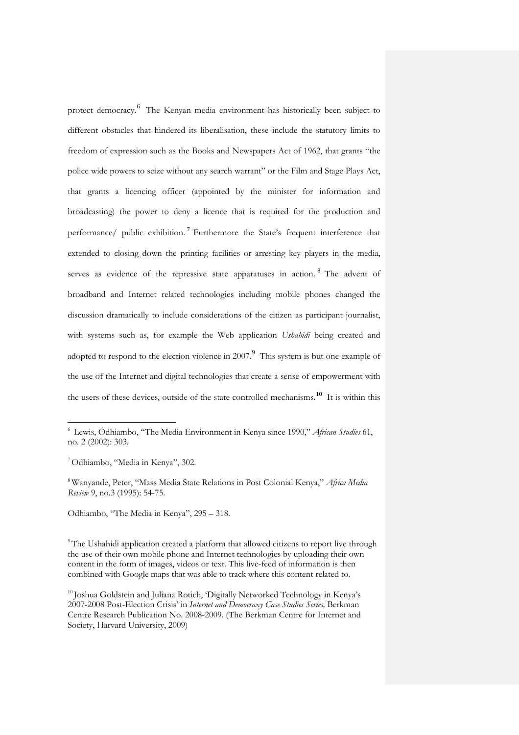protect democracy. [6](#page-2-0) The Kenyan media environment has historically been subject to different obstacles that hindered its liberalisation, these include the statutory limits to freedom of expression such as the Books and Newspapers Act of 1962, that grants "the police wide powers to seize without any search warrant" or the Film and Stage Plays Act, that grants a licencing officer (appointed by the minister for information and broadcasting) the power to deny a licence that is required for the production and performance/ public exhibition.<sup>[7](#page-2-1)</sup> Furthermore the State's frequent interference that extended to closing down the printing facilities or arresting key players in the media, serves as evidence of the repressive state apparatuses in action. <sup>[8](#page-2-2)</sup> The advent of broadband and Internet related technologies including mobile phones changed the discussion dramatically to include considerations of the citizen as participant journalist, with systems such as, for example the Web application *Ushahidi* being created and adopted to respond to the election violence in 2007. $9$  This system is but one example of the use of the Internet and digital technologies that create a sense of empowerment with the users of these devices, outside of the state controlled mechanisms.<sup>[10](#page-2-4)</sup> It is within this

-

<span id="page-2-1"></span>8 Wanyande, Peter, "Mass Media State Relations in Post Colonial Kenya," *Africa Media Review* 9, no.3 (1995): 54-75.

<span id="page-2-2"></span>Odhiambo, "The Media in Kenya", 295 – 318.

<sup>9</sup>The Ushahidi application created a platform that allowed citizens to report live through the use of their own mobile phone and Internet technologies by uploading their own content in the form of images, videos or text. This live-feed of information is then combined with Google maps that was able to track where this content related to.

<span id="page-2-4"></span><span id="page-2-3"></span><sup>10</sup> Joshua Goldstein and Juliana Rotich, 'Digitally Networked Technology in Kenya's 2007-2008 Post-Election Crisis' in *Internet and Democraxy Case Studies Series,* Berkman Centre Research Publication No. 2008-2009. (The Berkman Centre for Internet and Society, Harvard University, 2009)

<span id="page-2-0"></span><sup>6</sup> Lewis, Odhiambo, "The Media Environment in Kenya since 1990," *African Studies* 61, no. 2 (2002): 303.

<sup>7</sup> Odhiambo, "Media in Kenya", 302.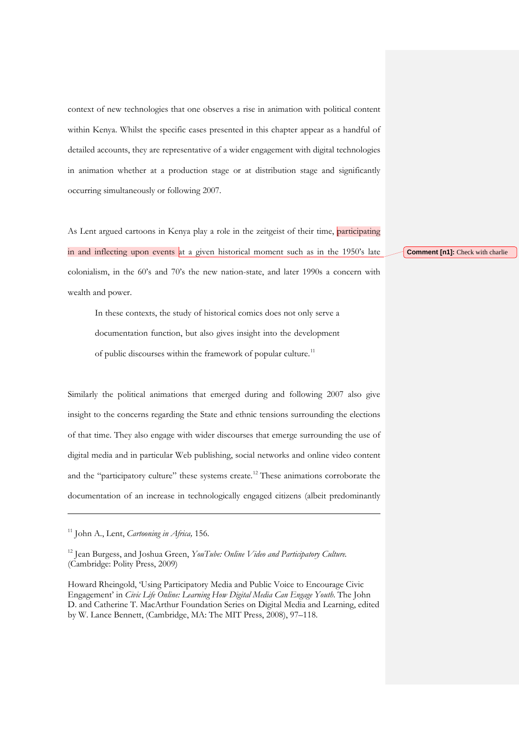context of new technologies that one observes a rise in animation with political content within Kenya. Whilst the specific cases presented in this chapter appear as a handful of detailed accounts, they are representative of a wider engagement with digital technologies in animation whether at a production stage or at distribution stage and significantly occurring simultaneously or following 2007.

As Lent argued cartoons in Kenya play a role in the zeitgeist of their time, participating in and inflecting upon events at a given historical moment such as in the 1950's late colonialism, in the 60's and 70's the new nation-state, and later 1990s a concern with wealth and power.

In these contexts, the study of historical comics does not only serve a documentation function, but also gives insight into the development of public discourses within the framework of popular culture.<sup>[11](#page-3-0)</sup>

Similarly the political animations that emerged during and following 2007 also give insight to the concerns regarding the State and ethnic tensions surrounding the elections of that time. They also engage with wider discourses that emerge surrounding the use of digital media and in particular Web publishing, social networks and online video content and the "participatory culture" these systems create.<sup>[12](#page-3-1)</sup> These animations corroborate the documentation of an increase in technologically engaged citizens (albeit predominantly

j

<span id="page-3-1"></span>Howard Rheingold, 'Using Participatory Media and Public Voice to Encourage Civic Engagement' in *Civic Life Online: Learning How Digital Media Can Engage Youth*. The John D. and Catherine T. MacArthur Foundation Series on Digital Media and Learning, edited by W. Lance Bennett, (Cambridge, MA: The MIT Press, 2008), 97–118.

#### **Comment [n1]:** Check with charlie

<sup>11</sup> John A., Lent, *Cartooning in Africa,* 156.

<span id="page-3-0"></span><sup>12</sup> Jean Burgess, and Joshua Green, *YouTube: Online Video and Participatory Culture.* (Cambridge: Polity Press, 2009)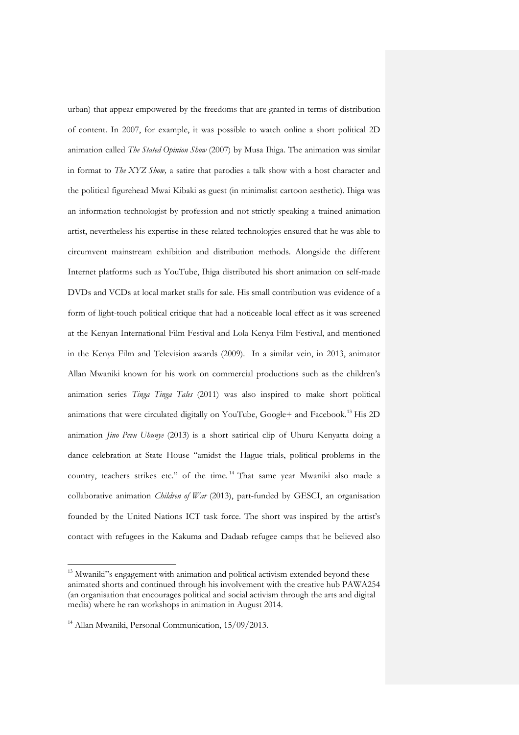urban) that appear empowered by the freedoms that are granted in terms of distribution of content. In 2007, for example, it was possible to watch online a short political 2D animation called *The Stated Opinion Show* (2007) by Musa Ihiga. The animation was similar in format to *The XYZ Show,* a satire that parodies a talk show with a host character and the political figurehead Mwai Kibaki as guest (in minimalist cartoon aesthetic). Ihiga was an information technologist by profession and not strictly speaking a trained animation artist, nevertheless his expertise in these related technologies ensured that he was able to circumvent mainstream exhibition and distribution methods. Alongside the different Internet platforms such as YouTube, Ihiga distributed his short animation on self-made DVDs and VCDs at local market stalls for sale. His small contribution was evidence of a form of light-touch political critique that had a noticeable local effect as it was screened at the Kenyan International Film Festival and Lola Kenya Film Festival, and mentioned in the Kenya Film and Television awards (2009). In a similar vein, in 2013, animator Allan Mwaniki known for his work on commercial productions such as the children's animation series *Tinga Tinga Tales* (2011) was also inspired to make short political animations that were circulated digitally on YouTube, Google+ and Facebook.<sup>[13](#page-4-0)</sup> His 2D animation *Jino Pevu Uhunye* (2013) is a short satirical clip of Uhuru Kenyatta doing a dance celebration at State House "amidst the Hague trials, political problems in the country, teachers strikes etc." of the time. [14](#page-4-1) That same year Mwaniki also made a collaborative animation *Children of War* (2013), part-funded by GESCI, an organisation founded by the United Nations ICT task force. The short was inspired by the artist's contact with refugees in the Kakuma and Dadaab refugee camps that he believed also

<sup>&</sup>lt;sup>13</sup> Mwaniki"s engagement with animation and political activism extended beyond these animated shorts and continued through his involvement with the creative hub PAWA254 (an organisation that encourages political and social activism through the arts and digital media) where he ran workshops in animation in August 2014.

<span id="page-4-1"></span><span id="page-4-0"></span><sup>&</sup>lt;sup>14</sup> Allan Mwaniki, Personal Communication, 15/09/2013.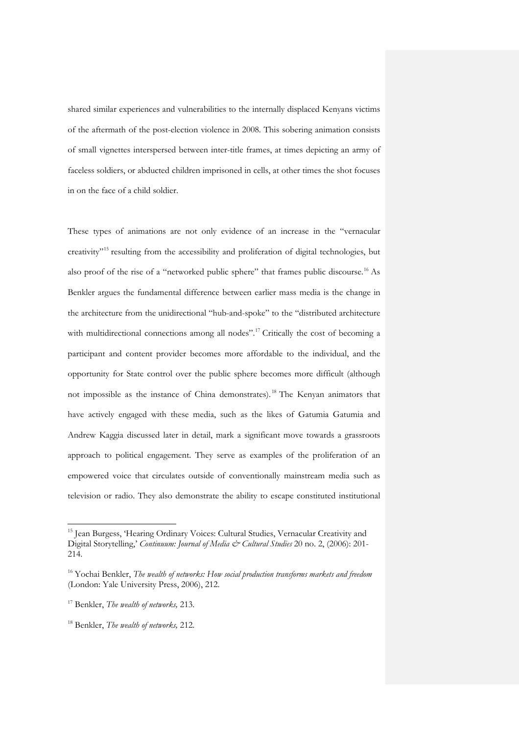shared similar experiences and vulnerabilities to the internally displaced Kenyans victims of the aftermath of the post-election violence in 2008. This sobering animation consists of small vignettes interspersed between inter-title frames, at times depicting an army of faceless soldiers, or abducted children imprisoned in cells, at other times the shot focuses in on the face of a child soldier.

These types of animations are not only evidence of an increase in the "vernacular creativity"[15](#page-5-0) resulting from the accessibility and proliferation of digital technologies, but also proof of the rise of a "networked public sphere" that frames public discourse.<sup>[16](#page-5-1)</sup> As Benkler argues the fundamental difference between earlier mass media is the change in the architecture from the unidirectional "hub-and-spoke" to the "distributed architecture with multidirectional connections among all nodes". [17](#page-5-2) Critically the cost of becoming a participant and content provider becomes more affordable to the individual, and the opportunity for State control over the public sphere becomes more difficult (although not impossible as the instance of China demonstrates). [18](#page-5-3) The Kenyan animators that have actively engaged with these media, such as the likes of Gatumia Gatumia and Andrew Kaggia discussed later in detail, mark a significant move towards a grassroots approach to political engagement. They serve as examples of the proliferation of an empowered voice that circulates outside of conventionally mainstream media such as television or radio. They also demonstrate the ability to escape constituted institutional

<sup>&</sup>lt;sup>15</sup> Jean Burgess, 'Hearing Ordinary Voices: Cultural Studies, Vernacular Creativity and Digital Storytelling,' *Continuum: Journal of Media & Cultural Studies* 20 no. 2, (2006): 201- 214.

<span id="page-5-0"></span><sup>16</sup> Yochai Benkler, *The wealth of networks: How social production transforms markets and freedom* (London: Yale University Press, 2006), 212.

<span id="page-5-1"></span><sup>17</sup> Benkler, *The wealth of networks,* 213.

<span id="page-5-3"></span><span id="page-5-2"></span><sup>18</sup> Benkler, *The wealth of networks,* 212.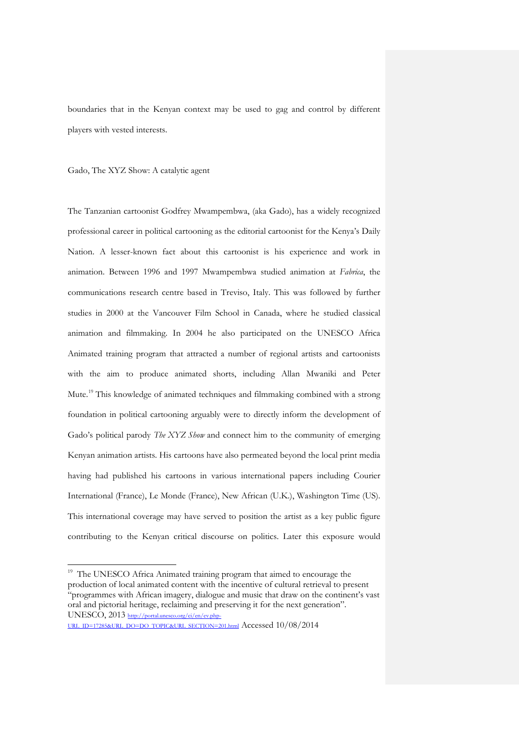boundaries that in the Kenyan context may be used to gag and control by different players with vested interests.

### Gado, The XYZ Show: A catalytic agent

The Tanzanian cartoonist Godfrey Mwampembwa, (aka Gado), has a widely recognized professional career in political cartooning as the editorial cartoonist for the Kenya's Daily Nation. A lesser-known fact about this cartoonist is his experience and work in animation. Between 1996 and 1997 Mwampembwa studied animation at *Fabrica*, the communications research centre based in Treviso, Italy. This was followed by further studies in 2000 at the Vancouver Film School in Canada, where he studied classical animation and filmmaking. In 2004 he also participated on the UNESCO Africa Animated training program that attracted a number of regional artists and cartoonists with the aim to produce animated shorts, including Allan Mwaniki and Peter Mute.<sup>[19](#page-6-0)</sup> This knowledge of animated techniques and filmmaking combined with a strong foundation in political cartooning arguably were to directly inform the development of Gado's political parody *The XYZ Show* and connect him to the community of emerging Kenyan animation artists. His cartoons have also permeated beyond the local print media having had published his cartoons in various international papers including Courier International (France), Le Monde (France), New African (U.K.), Washington Time (US). This international coverage may have served to position the artist as a key public figure contributing to the Kenyan critical discourse on politics. Later this exposure would

<sup>19</sup> The UNESCO Africa Animated training program that aimed to encourage the production of local animated content with the incentive of cultural retrieval to present "programmes with African imagery, dialogue and music that draw on the continent's vast oral and pictorial heritage, reclaiming and preserving it for the next generation". UNESCO, 2013 [http://portal.unesco.org/ci/en/ev.php-](http://portal.unesco.org/ci/en/ev.php-URL_ID=17285&URL_DO=DO_TOPIC&URL_SECTION=201.html)

<span id="page-6-0"></span>[URL\\_ID=17285&URL\\_DO=DO\\_TOPIC&URL\\_SECTION=201.html](http://portal.unesco.org/ci/en/ev.php-URL_ID=17285&URL_DO=DO_TOPIC&URL_SECTION=201.html) Accessed 10/08/2014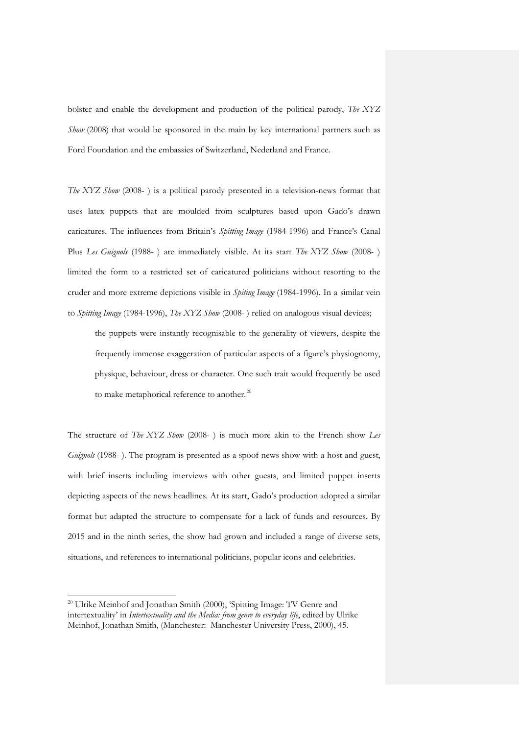bolster and enable the development and production of the political parody, *The XYZ Show* (2008) that would be sponsored in the main by key international partners such as Ford Foundation and the embassies of Switzerland, Nederland and France.

*The XYZ Show* (2008- ) is a political parody presented in a television-news format that uses latex puppets that are moulded from sculptures based upon Gado's drawn caricatures. The influences from Britain's *Spitting Image* (1984-1996) and France's Canal Plus *Les Guignols* (1988- ) are immediately visible. At its start *The XYZ Show* (2008- ) limited the form to a restricted set of caricatured politicians without resorting to the cruder and more extreme depictions visible in *Spiting Image* (1984-1996). In a similar vein to *Spitting Image* (1984-1996), *The XYZ Show* (2008- ) relied on analogous visual devices;

the puppets were instantly recognisable to the generality of viewers, despite the frequently immense exaggeration of particular aspects of a figure's physiognomy, physique, behaviour, dress or character. One such trait would frequently be used to make metaphorical reference to another.<sup>[20](#page-7-0)</sup>

The structure of *The XYZ Show* (2008- ) is much more akin to the French show *Les Guignols* (1988- ). The program is presented as a spoof news show with a host and guest, with brief inserts including interviews with other guests, and limited puppet inserts depicting aspects of the news headlines. At its start, Gado's production adopted a similar format but adapted the structure to compensate for a lack of funds and resources. By 2015 and in the ninth series, the show had grown and included a range of diverse sets, situations, and references to international politicians, popular icons and celebrities.

<span id="page-7-0"></span><sup>&</sup>lt;sup>20</sup> Ulrike Meinhof and Jonathan Smith (2000), 'Spitting Image: TV Genre and intertextuality' in *Intertextuality and the Media: from genre to everyday life*, edited by Ulrike Meinhof, Jonathan Smith, (Manchester: Manchester University Press, 2000), 45.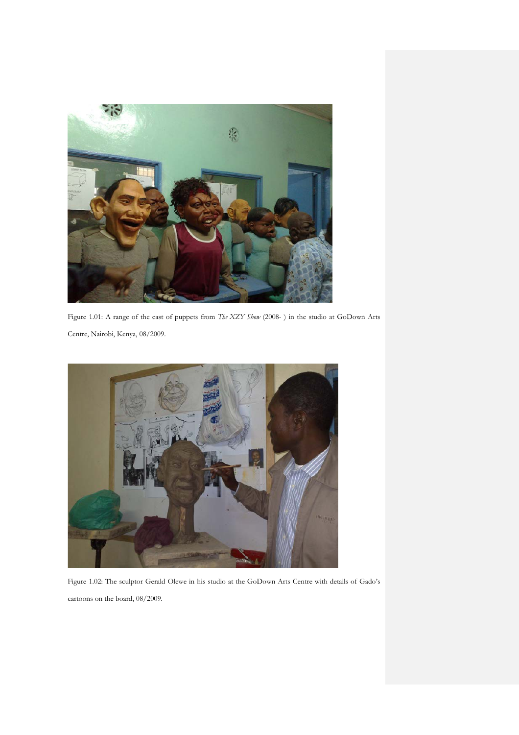

Figure 1.01: A range of the cast of puppets from *The XZY Show* (2008- ) in the studio at GoDown Arts Centre, Nairobi, Kenya, 08/2009.



Figure 1.02: The sculptor Gerald Olewe in his studio at the GoDown Arts Centre with details of Gado's cartoons on the board, 08/2009.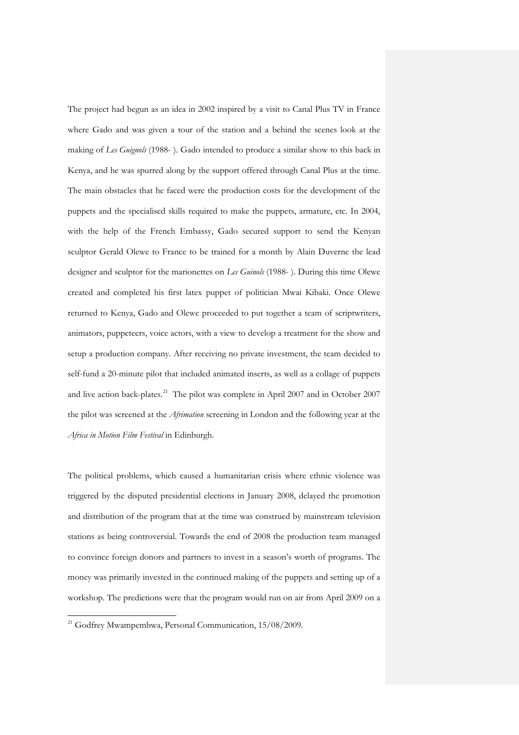The project had begun as an idea in 2002 inspired by a visit to Canal Plus TV in France where Gado and was given a tour of the station and a behind the scenes look at the making of *Les Guignols* (1988- )*.* Gado intended to produce a similar show to this back in Kenya, and he was spurred along by the support offered through Canal Plus at the time. The main obstacles that he faced were the production costs for the development of the puppets and the specialised skills required to make the puppets, armature, etc. In 2004, with the help of the French Embassy, Gado secured support to send the Kenyan sculptor Gerald Olewe to France to be trained for a month by Alain Duverne the lead designer and sculptor for the marionettes on *Les Guinols* (1988- ). During this time Olewe created and completed his first latex puppet of politician Mwai Kibaki. Once Olewe returned to Kenya, Gado and Olewe proceeded to put together a team of scriptwriters, animators, puppeteers, voice actors, with a view to develop a treatment for the show and setup a production company. After receiving no private investment, the team decided to self-fund a 20-minute pilot that included animated inserts, as well as a collage of puppets and live action back-plates.<sup>[21](#page-9-0)</sup> The pilot was complete in April 2007 and in October 2007 the pilot was screened at the *Afrimation* screening in London and the following year at the *Africa in Motion Film Festival* in Edinburgh.

The political problems, which caused a humanitarian crisis where ethnic violence was triggered by the disputed presidential elections in January 2008, delayed the promotion and distribution of the program that at the time was construed by mainstream television stations as being controversial. Towards the end of 2008 the production team managed to convince foreign donors and partners to invest in a season's worth of programs. The money was primarily invested in the continued making of the puppets and setting up of a workshop. The predictions were that the program would run on air from April 2009 on a

-

<span id="page-9-0"></span><sup>&</sup>lt;sup>21</sup> Godfrey Mwampembwa, Personal Communication, 15/08/2009.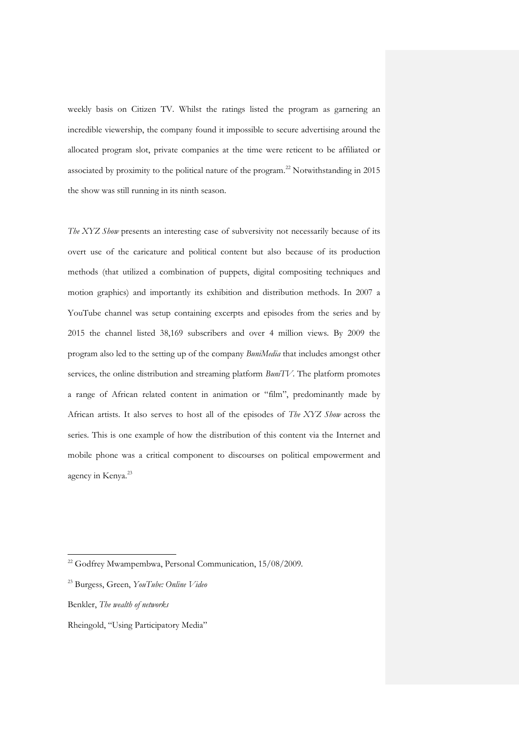weekly basis on Citizen TV. Whilst the ratings listed the program as garnering an incredible viewership, the company found it impossible to secure advertising around the allocated program slot, private companies at the time were reticent to be affiliated or associated by proximity to the political nature of the program. [22](#page-10-0) Notwithstanding in 2015 the show was still running in its ninth season.

*The XYZ Show* presents an interesting case of subversivity not necessarily because of its overt use of the caricature and political content but also because of its production methods (that utilized a combination of puppets, digital compositing techniques and motion graphics) and importantly its exhibition and distribution methods. In 2007 a YouTube channel was setup containing excerpts and episodes from the series and by 2015 the channel listed 38,169 subscribers and over 4 million views. By 2009 the program also led to the setting up of the company *BuniMedia* that includes amongst other services, the online distribution and streaming platform *BuniTV*. The platform promotes a range of African related content in animation or "film", predominantly made by African artists. It also serves to host all of the episodes of *The XYZ Show* across the series. This is one example of how the distribution of this content via the Internet and mobile phone was a critical component to discourses on political empowerment and agency in Kenya. [23](#page-10-1)

<span id="page-10-0"></span>Benkler, *The wealth of networks*

 $\ddot{ }$ 

<span id="page-10-1"></span>Rheingold, "Using Participatory Media"

<sup>&</sup>lt;sup>22</sup> Godfrey Mwampembwa, Personal Communication, 15/08/2009.

<sup>23</sup> Burgess, Green, *YouTube: Online Video*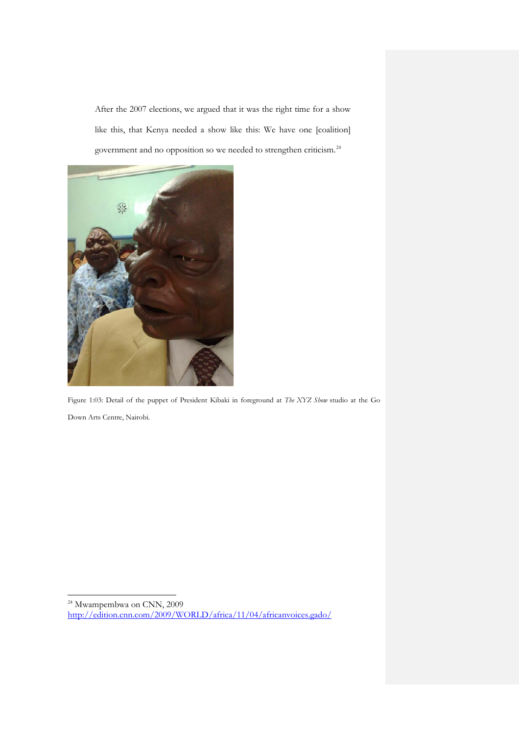After the 2007 elections, we argued that it was the right time for a show like this, that Kenya needed a show like this: We have one [coalition] government and no opposition so we needed to strengthen criticism.<sup>[24](#page-11-0)</sup>



Figure 1:03: Detail of the puppet of President Kibaki in foreground at *The XYZ Show* studio at the Go Down Arts Centre, Nairobi.

<span id="page-11-0"></span><sup>&</sup>lt;sup>24</sup> Mwampembwa on CNN, 2009 <http://edition.cnn.com/2009/WORLD/africa/11/04/africanvoices.gado/>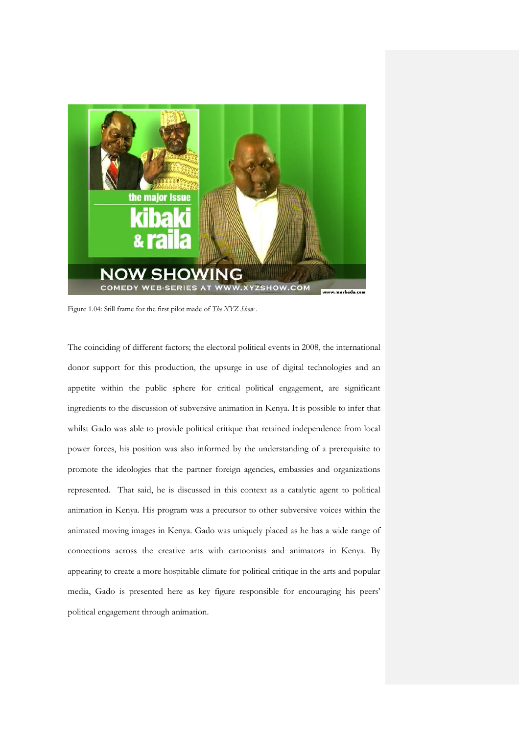

Figure 1.04: Still frame for the first pilot made of *The XYZ Show* .

The coinciding of different factors; the electoral political events in 2008, the international donor support for this production, the upsurge in use of digital technologies and an appetite within the public sphere for critical political engagement, are significant ingredients to the discussion of subversive animation in Kenya. It is possible to infer that whilst Gado was able to provide political critique that retained independence from local power forces, his position was also informed by the understanding of a prerequisite to promote the ideologies that the partner foreign agencies, embassies and organizations represented. That said, he is discussed in this context as a catalytic agent to political animation in Kenya. His program was a precursor to other subversive voices within the animated moving images in Kenya. Gado was uniquely placed as he has a wide range of connections across the creative arts with cartoonists and animators in Kenya. By appearing to create a more hospitable climate for political critique in the arts and popular media, Gado is presented here as key figure responsible for encouraging his peers' political engagement through animation.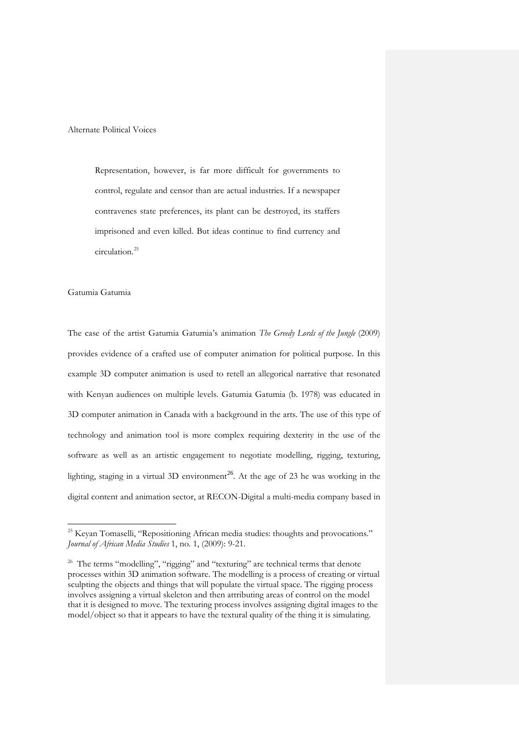Alternate Political Voices

Representation, however, is far more difficult for governments to control, regulate and censor than are actual industries. If a newspaper contravenes state preferences, its plant can be destroyed, its staffers imprisoned and even killed. But ideas continue to find currency and circulation.[25](#page-13-0)

## Gatumia Gatumia

 $\ddot{ }$ 

The case of the artist Gatumia Gatumia's animation *The Greedy Lords of the Jungle* (2009) provides evidence of a crafted use of computer animation for political purpose. In this example 3D computer animation is used to retell an allegorical narrative that resonated with Kenyan audiences on multiple levels. Gatumia Gatumia (b. 1978) was educated in 3D computer animation in Canada with a background in the arts. The use of this type of technology and animation tool is more complex requiring dexterity in the use of the software as well as an artistic engagement to negotiate modelling, rigging, texturing, lighting, staging in a virtual 3D environment<sup>[26](#page-13-1)</sup>. At the age of 23 he was working in the digital content and animation sector, at RECON-Digital a multi-media company based in

<sup>&</sup>lt;sup>25</sup> Keyan Tomaselli, "Repositioning African media studies: thoughts and provocations." *Journal of African Media Studies* 1, no. 1, (2009): 9-21.

<span id="page-13-1"></span><span id="page-13-0"></span><sup>&</sup>lt;sup>26</sup> The terms "modelling", "rigging" and "texturing" are technical terms that denote processes within 3D animation software. The modelling is a process of creating or virtual sculpting the objects and things that will populate the virtual space. The rigging process involves assigning a virtual skeleton and then attributing areas of control on the model that it is designed to move. The texturing process involves assigning digital images to the model/object so that it appears to have the textural quality of the thing it is simulating.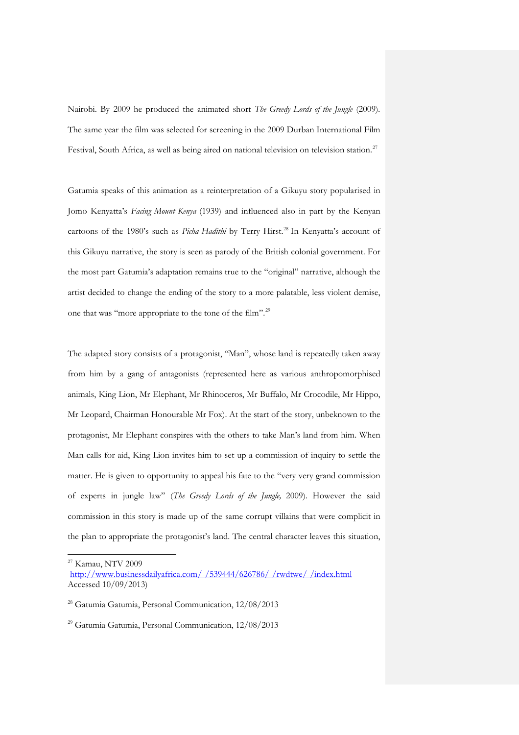Nairobi. By 2009 he produced the animated short *The Greedy Lords of the Jungle* (2009)*.*  The same year the film was selected for screening in the 2009 Durban International Film Festival, South Africa, as well as being aired on national television on television station.<sup>[27](#page-14-0)</sup>

Gatumia speaks of this animation as a reinterpretation of a Gikuyu story popularised in Jomo Kenyatta's *Facing Mount Kenya* (1939) and influenced also in part by the Kenyan cartoons of the 1980's such as *Picha Hadithi* by Terry Hirst.<sup>[28](#page-14-1)</sup> In Kenyatta's account of this Gikuyu narrative, the story is seen as parody of the British colonial government. For the most part Gatumia's adaptation remains true to the "original" narrative, although the artist decided to change the ending of the story to a more palatable, less violent demise, one that was "more appropriate to the tone of the film". [29](#page-14-2) 

The adapted story consists of a protagonist, "Man", whose land is repeatedly taken away from him by a gang of antagonists (represented here as various anthropomorphised animals, King Lion, Mr Elephant, Mr Rhinoceros, Mr Buffalo, Mr Crocodile, Mr Hippo, Mr Leopard, Chairman Honourable Mr Fox). At the start of the story, unbeknown to the protagonist, Mr Elephant conspires with the others to take Man's land from him. When Man calls for aid, King Lion invites him to set up a commission of inquiry to settle the matter. He is given to opportunity to appeal his fate to the "very very grand commission of experts in jungle law" (*The Greedy Lords of the Jungle,* 2009). However the said commission in this story is made up of the same corrupt villains that were complicit in the plan to appropriate the protagonist's land. The central character leaves this situation,

<sup>27</sup> Kamau, NTV 2009

<http://www.businessdailyafrica.com/-/539444/626786/-/rwdtwe/-/index.html> Accessed 10/09/2013)

<span id="page-14-0"></span><sup>28</sup> Gatumia Gatumia, Personal Communication, 12/08/2013

<span id="page-14-2"></span><span id="page-14-1"></span><sup>29</sup> Gatumia Gatumia, Personal Communication, 12/08/2013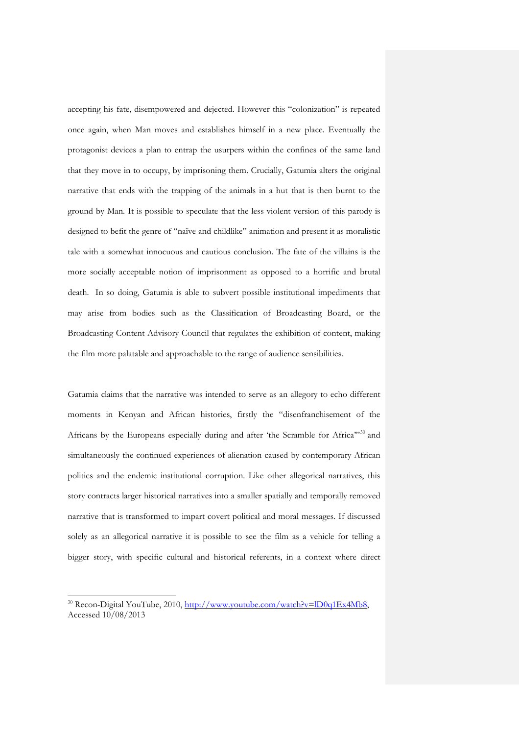accepting his fate, disempowered and dejected. However this "colonization" is repeated once again, when Man moves and establishes himself in a new place. Eventually the protagonist devices a plan to entrap the usurpers within the confines of the same land that they move in to occupy, by imprisoning them. Crucially, Gatumia alters the original narrative that ends with the trapping of the animals in a hut that is then burnt to the ground by Man. It is possible to speculate that the less violent version of this parody is designed to befit the genre of "naïve and childlike" animation and present it as moralistic tale with a somewhat innocuous and cautious conclusion. The fate of the villains is the more socially acceptable notion of imprisonment as opposed to a horrific and brutal death. In so doing, Gatumia is able to subvert possible institutional impediments that may arise from bodies such as the Classification of Broadcasting Board, or the Broadcasting Content Advisory Council that regulates the exhibition of content, making the film more palatable and approachable to the range of audience sensibilities.

Gatumia claims that the narrative was intended to serve as an allegory to echo different moments in Kenyan and African histories, firstly the "disenfranchisement of the Africans by the Europeans especially during and after 'the Scramble for Africa"<sup>[30](#page-15-0)</sup> and simultaneously the continued experiences of alienation caused by contemporary African politics and the endemic institutional corruption. Like other allegorical narratives, this story contracts larger historical narratives into a smaller spatially and temporally removed narrative that is transformed to impart covert political and moral messages. If discussed solely as an allegorical narrative it is possible to see the film as a vehicle for telling a bigger story, with specific cultural and historical referents, in a context where direct

<span id="page-15-0"></span><sup>&</sup>lt;sup>30</sup> Recon-Digital YouTube, 2010, [http://www.youtube.com/watch?v=lD0q1Ex4Mb8,](http://www.youtube.com/watch?v=lD0q1Ex4Mb8) Accessed 10/08/2013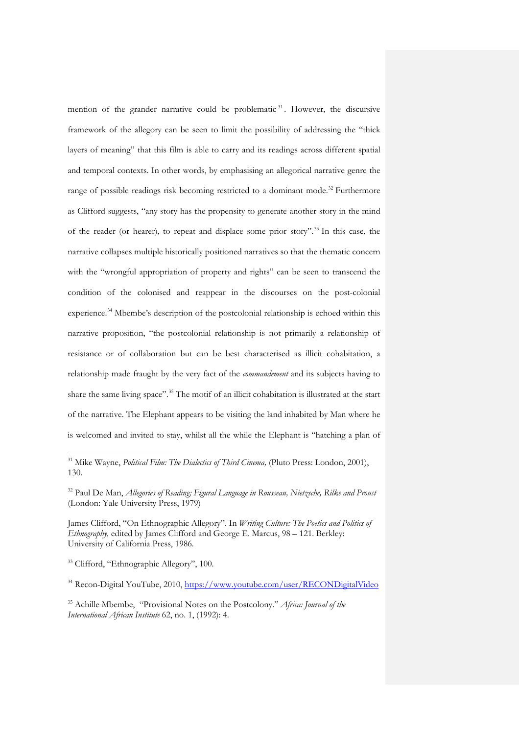mention of the grander narrative could be problematic  $31$ . However, the discursive framework of the allegory can be seen to limit the possibility of addressing the "thick layers of meaning" that this film is able to carry and its readings across different spatial and temporal contexts. In other words, by emphasising an allegorical narrative genre the range of possible readings risk becoming restricted to a dominant mode.<sup>[32](#page-16-1)</sup> Furthermore as Clifford suggests, "any story has the propensity to generate another story in the mind of the reader (or hearer), to repeat and displace some prior story". [33](#page-16-2) In this case, the narrative collapses multiple historically positioned narratives so that the thematic concern with the "wrongful appropriation of property and rights" can be seen to transcend the condition of the colonised and reappear in the discourses on the post-colonial experience.<sup>[34](#page-16-3)</sup> Mbembe's description of the postcolonial relationship is echoed within this narrative proposition, "the postcolonial relationship is not primarily a relationship of resistance or of collaboration but can be best characterised as illicit cohabitation, a relationship made fraught by the very fact of the *commandement* and its subjects having to share the same living space". [35](#page-16-4) The motif of an illicit cohabitation is illustrated at the start of the narrative. The Elephant appears to be visiting the land inhabited by Man where he is welcomed and invited to stay, whilst all the while the Elephant is "hatching a plan of

<sup>33</sup> Clifford, "Ethnographic Allegory", 100.

-

<sup>34</sup> Recon-Digital YouTube, 2010,<https://www.youtube.com/user/RECONDigitalVideo>

<span id="page-16-0"></span><sup>31</sup> Mike Wayne, *Political Film: The Dialectics of Third Cinema,* (Pluto Press: London, 2001), 130.

<sup>32</sup> Paul De Man, *Allegories of Reading; Figural Language in Rousseau, Nietzsche, Rilke and Proust* (London: Yale University Press, 1979)

<span id="page-16-1"></span>James Clifford, "On Ethnographic Allegory". In *Writing Culture: The Poetics and Politics of Ethnography,* edited by James Clifford and George E. Marcus, 98 – 121. Berkley: University of California Press, 1986.

<span id="page-16-4"></span><span id="page-16-3"></span><span id="page-16-2"></span><sup>35</sup> Achille Mbembe, "Provisional Notes on the Postcolony." *Africa: Journal of the International African Institute* 62, no. 1, (1992): 4.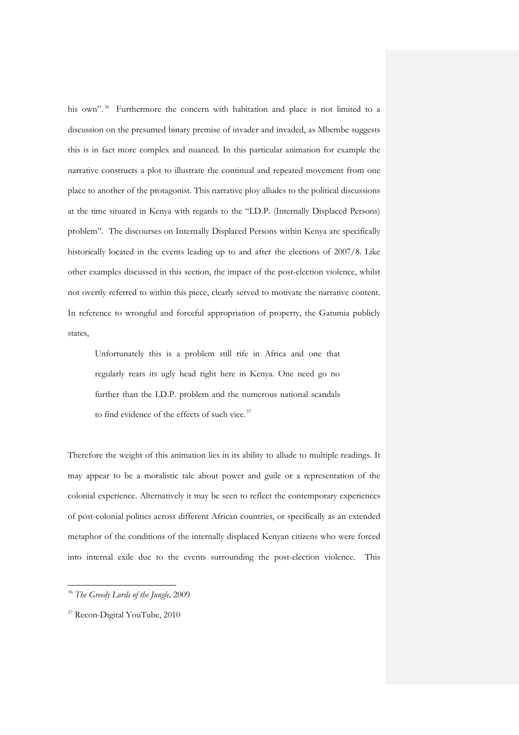his own".<sup>[36](#page-17-0)</sup> Furthermore the concern with habitation and place is not limited to a discussion on the presumed binary premise of invader and invaded, as Mbembe suggests this is in fact more complex and nuanced. In this particular animation for example the narrative constructs a plot to illustrate the continual and repeated movement from one place to another of the protagonist. This narrative ploy alludes to the political discussions at the time situated in Kenya with regards to the "I.D.P. (Internally Displaced Persons) problem". The discourses on Internally Displaced Persons within Kenya are specifically historically located in the events leading up to and after the elections of 2007/8. Like other examples discussed in this section, the impact of the post-election violence, whilst not overtly referred to within this piece, clearly served to motivate the narrative content. In reference to wrongful and forceful appropriation of property, the Gatumia publicly states,

Unfortunately this is a problem still rife in Africa and one that regularly rears its ugly head right here in Kenya. One need go no further than the I.D.P. problem and the numerous national scandals to find evidence of the effects of such vice.<sup>[37](#page-17-1)</sup>

Therefore the weight of this animation lies in its ability to allude to multiple readings. It may appear to be a moralistic tale about power and guile or a representation of the colonial experience. Alternatively it may be seen to reflect the contemporary experiences of post-colonial politics across different African countries, or specifically as an extended metaphor of the conditions of the internally displaced Kenyan citizens who were forced into internal exile due to the events surrounding the post-election violence. This

-

<sup>36</sup> *The Greedy Lords of the Jungle,* 2009

<span id="page-17-1"></span><span id="page-17-0"></span><sup>&</sup>lt;sup>37</sup> Recon-Digital YouTube, 2010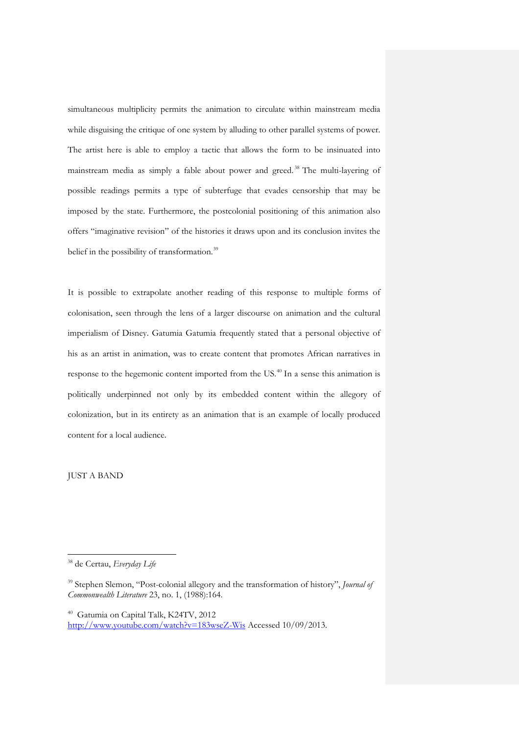simultaneous multiplicity permits the animation to circulate within mainstream media while disguising the critique of one system by alluding to other parallel systems of power. The artist here is able to employ a tactic that allows the form to be insinuated into mainstream media as simply a fable about power and greed. [38](#page-18-0) The multi-layering of possible readings permits a type of subterfuge that evades censorship that may be imposed by the state. Furthermore, the postcolonial positioning of this animation also offers "imaginative revision" of the histories it draws upon and its conclusion invites the belief in the possibility of transformation.<sup>[39](#page-18-1)</sup>

It is possible to extrapolate another reading of this response to multiple forms of colonisation, seen through the lens of a larger discourse on animation and the cultural imperialism of Disney. Gatumia Gatumia frequently stated that a personal objective of his as an artist in animation, was to create content that promotes African narratives in response to the hegemonic content imported from the US.<sup>[40](#page-18-2)</sup> In a sense this animation is politically underpinned not only by its embedded content within the allegory of colonization, but in its entirety as an animation that is an example of locally produced content for a local audience.

JUST A BAND

<sup>38</sup> de Certau, *Everyday Life*

<span id="page-18-0"></span><sup>39</sup> Stephen Slemon, "Post-colonial allegory and the transformation of history", *Journal of Commonwealth Literature* 23, no. 1, (1988):164.

<span id="page-18-2"></span><span id="page-18-1"></span><sup>40</sup> Gatumia on Capital Talk, K24TV, 2012 <http://www.youtube.com/watch?v=183wseZ-Wis> Accessed 10/09/2013.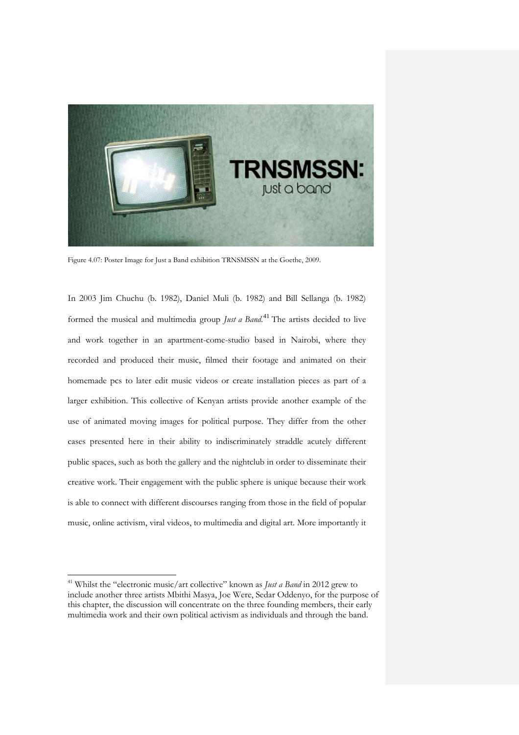

Figure 4.07: Poster Image for Just a Band exhibition TRNSMSSN at the Goethe, 2009.

In 2003 Jim Chuchu (b. 1982), Daniel Muli (b. 1982) and Bill Sellanga (b. 1982) formed the musical and multimedia group *Just a Band*. [41](#page-19-0) The artists decided to live and work together in an apartment-come-studio based in Nairobi, where they recorded and produced their music, filmed their footage and animated on their homemade pcs to later edit music videos or create installation pieces as part of a larger exhibition. This collective of Kenyan artists provide another example of the use of animated moving images for political purpose. They differ from the other cases presented here in their ability to indiscriminately straddle acutely different public spaces, such as both the gallery and the nightclub in order to disseminate their creative work. Their engagement with the public sphere is unique because their work is able to connect with different discourses ranging from those in the field of popular music, online activism, viral videos, to multimedia and digital art. More importantly it

<span id="page-19-0"></span><sup>41</sup> Whilst the "electronic music/art collective" known as *Just a Band* in 2012 grew to include another three artists Mbithi Masya, Joe Were, Sedar Oddenyo, for the purpose of this chapter, the discussion will concentrate on the three founding members, their early multimedia work and their own political activism as individuals and through the band.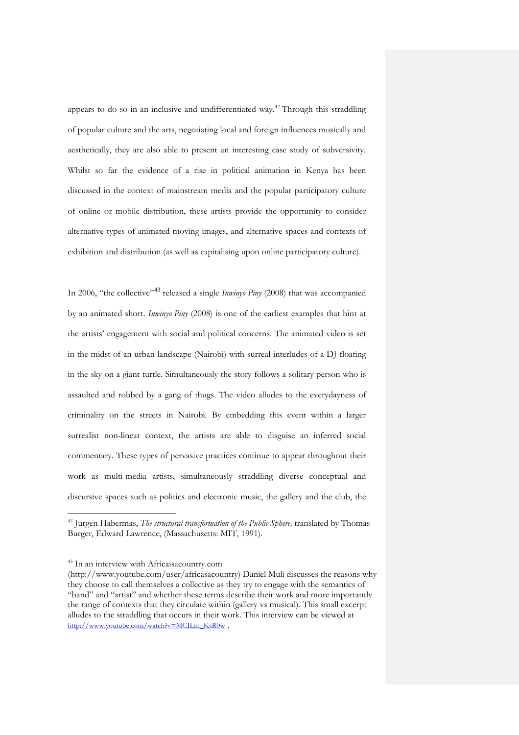appears to do so in an inclusive and undifferentiated way. [42](#page-20-0) Through this straddling of popular culture and the arts, negotiating local and foreign influences musically and aesthetically, they are also able to present an interesting case study of subversivity. Whilst so far the evidence of a rise in political animation in Kenya has been discussed in the context of mainstream media and the popular participatory culture of online or mobile distribution, these artists provide the opportunity to consider alternative types of animated moving images, and alternative spaces and contexts of exhibition and distribution (as well as capitalising upon online participatory culture).

In 2006, "the collective"[43](#page-20-1) released a single *Inwinyo Piny* (2008) that was accompanied by an animated short. *Inwinyo Piny* (2008) is one of the earliest examples that hint at the artists' engagement with social and political concerns. The animated video is set in the midst of an urban landscape (Nairobi) with surreal interludes of a DJ floating in the sky on a giant turtle. Simultaneously the story follows a solitary person who is assaulted and robbed by a gang of thugs. The video alludes to the everydayness of criminality on the streets in Nairobi. By embedding this event within a larger surrealist non-linear context, the artists are able to disguise an inferred social commentary. These types of pervasive practices continue to appear throughout their work as multi-media artists, simultaneously straddling diverse conceptual and discursive spaces such as politics and electronic music, the gallery and the club, the

j

<sup>&</sup>lt;sup>42</sup> Jurgen Habermas, *The structural transformation of the Public Sphere*, translated by Thomas Burger, Edward Lawrence, (Massachusetts: MIT, 1991).

<span id="page-20-0"></span><sup>43</sup> In an interview with Africaisacountry.com

<span id="page-20-1"></span><sup>(</sup>http://www.youtube.com/user/africasacountry) Daniel Muli discusses the reasons why they choose to call themselves a collective as they try to engage with the semantics of "band" and "artist" and whether these terms describe their work and more importantly the range of contexts that they circulate within (gallery vs musical). This small excerpt alludes to the straddling that occurs in their work. This interview can be viewed at [http://www.youtube.com/watch?v=MCILm\\_KsR0w](http://www.youtube.com/watch?v=MCILm_KsR0w) .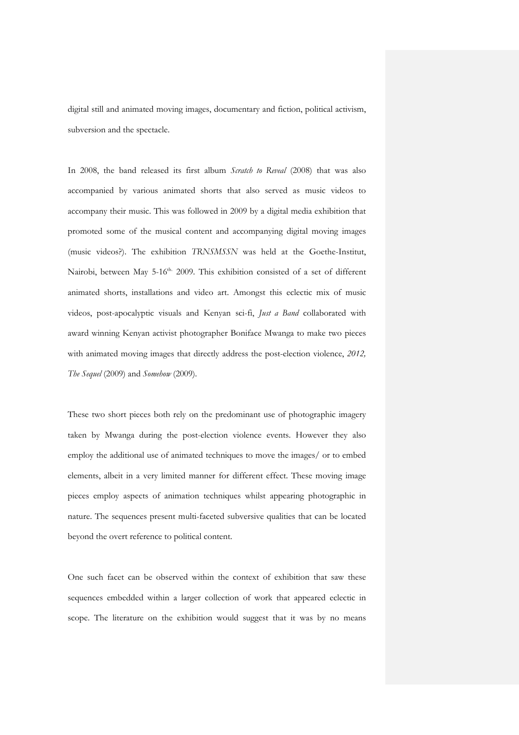digital still and animated moving images, documentary and fiction, political activism, subversion and the spectacle.

In 2008, the band released its first album *Scratch to Reveal* (2008) that was also accompanied by various animated shorts that also served as music videos to accompany their music. This was followed in 2009 by a digital media exhibition that promoted some of the musical content and accompanying digital moving images (music videos?). The exhibition *TRNSMSSN* was held at the Goethe-Institut, Nairobi, between May 5-16<sup>th.</sup> 2009. This exhibition consisted of a set of different animated shorts, installations and video art. Amongst this eclectic mix of music videos, post-apocalyptic visuals and Kenyan sci-fi, *Just a Band* collaborated with award winning Kenyan activist photographer Boniface Mwanga to make two pieces with animated moving images that directly address the post-election violence, *2012, The Sequel* (2009) and *Somehow* (2009).

These two short pieces both rely on the predominant use of photographic imagery taken by Mwanga during the post-election violence events. However they also employ the additional use of animated techniques to move the images/ or to embed elements, albeit in a very limited manner for different effect. These moving image pieces employ aspects of animation techniques whilst appearing photographic in nature. The sequences present multi-faceted subversive qualities that can be located beyond the overt reference to political content.

One such facet can be observed within the context of exhibition that saw these sequences embedded within a larger collection of work that appeared eclectic in scope. The literature on the exhibition would suggest that it was by no means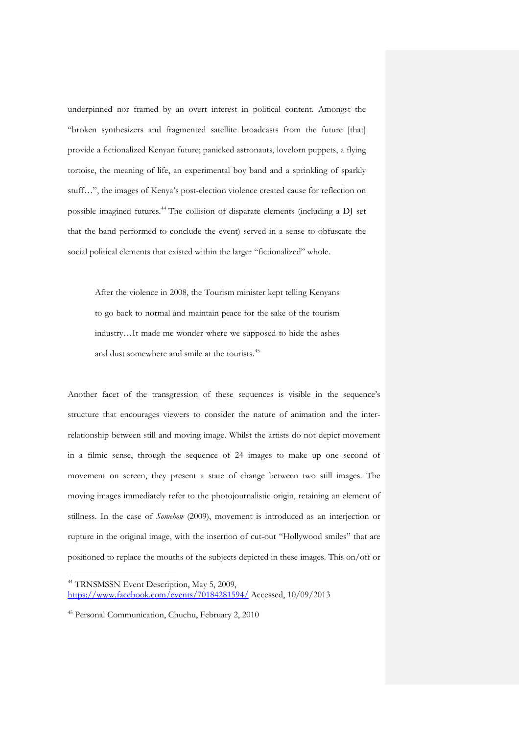underpinned nor framed by an overt interest in political content. Amongst the "broken synthesizers and fragmented satellite broadcasts from the future [that] provide a fictionalized Kenyan future; panicked astronauts, lovelorn puppets, a flying tortoise, the meaning of life, an experimental boy band and a sprinkling of sparkly stuff…", the images of Kenya's post-election violence created cause for reflection on possible imagined futures.[44](#page-22-0) The collision of disparate elements (including a DJ set that the band performed to conclude the event) served in a sense to obfuscate the social political elements that existed within the larger "fictionalized" whole.

After the violence in 2008, the Tourism minister kept telling Kenyans to go back to normal and maintain peace for the sake of the tourism industry…It made me wonder where we supposed to hide the ashes and dust somewhere and smile at the tourists. [45](#page-22-1)

Another facet of the transgression of these sequences is visible in the sequence's structure that encourages viewers to consider the nature of animation and the interrelationship between still and moving image. Whilst the artists do not depict movement in a filmic sense, through the sequence of 24 images to make up one second of movement on screen, they present a state of change between two still images. The moving images immediately refer to the photojournalistic origin, retaining an element of stillness. In the case of *Somehow* (2009), movement is introduced as an interjection or rupture in the original image, with the insertion of cut-out "Hollywood smiles" that are positioned to replace the mouths of the subjects depicted in these images. This on/off or

<sup>&</sup>lt;sup>44</sup> TRNSMSSN Event Description, May 5, 2009, <https://www.facebook.com/events/70184281594/> Accessed, 10/09/2013

<span id="page-22-1"></span><span id="page-22-0"></span><sup>45</sup> Personal Communication, Chuchu, February 2, 2010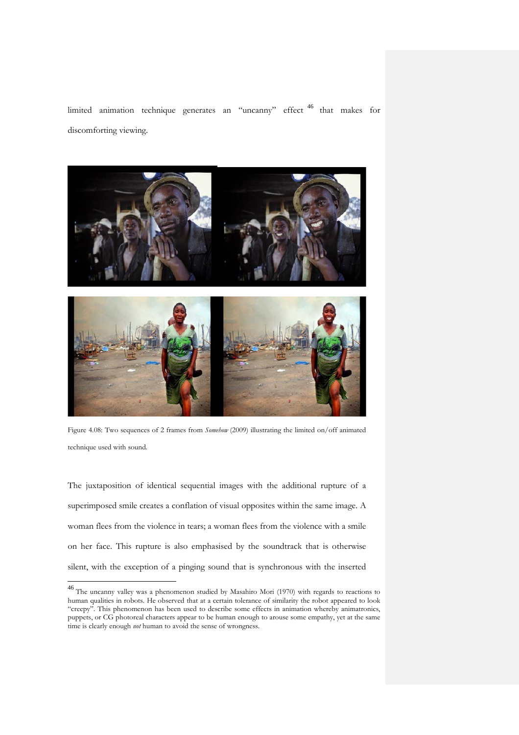limited animation technique generates an "uncanny" effect [46](#page-23-0) that makes for discomforting viewing.



Figure 4.08: Two sequences of 2 frames from *Somehow* (2009) illustrating the limited on/off animated technique used with sound.

The juxtaposition of identical sequential images with the additional rupture of a superimposed smile creates a conflation of visual opposites within the same image. A woman flees from the violence in tears; a woman flees from the violence with a smile on her face. This rupture is also emphasised by the soundtrack that is otherwise silent, with the exception of a pinging sound that is synchronous with the inserted

<span id="page-23-0"></span><sup>46</sup> The uncanny valley was a phenomenon studied by Masahiro Mori (1970) with regards to reactions to human qualities in robots. He observed that at a certain tolerance of similarity the robot appeared to look "creepy". This phenomenon has been used to describe some effects in animation whereby animatronics, puppets, or CG photoreal characters appear to be human enough to arouse some empathy, yet at the same time is clearly enough *not* human to avoid the sense of wrongness.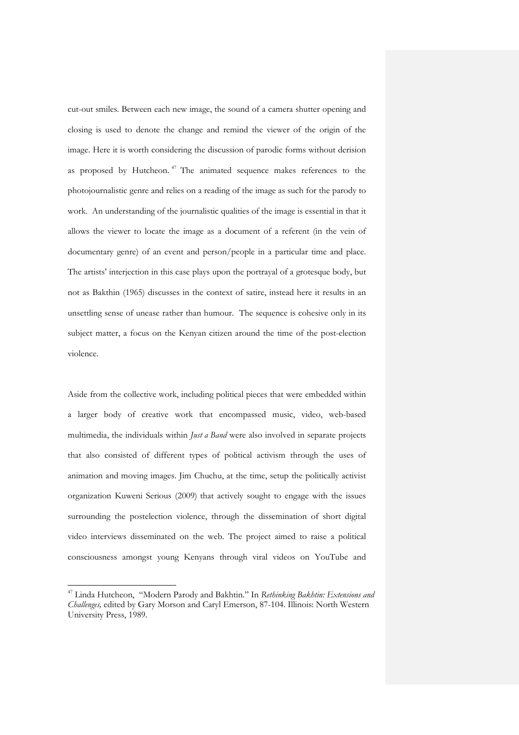cut-out smiles. Between each new image, the sound of a camera shutter opening and closing is used to denote the change and remind the viewer of the origin of the image. Here it is worth considering the discussion of parodic forms without derision as proposed by Hutcheon.<sup>[47](#page-24-0)</sup> The animated sequence makes references to the photojournalistic genre and relies on a reading of the image as such for the parody to work. An understanding of the journalistic qualities of the image is essential in that it allows the viewer to locate the image as a document of a referent (in the vein of documentary genre) of an event and person/people in a particular time and place. The artists' interjection in this case plays upon the portrayal of a grotesque body, but not as Bakthin (1965) discusses in the context of satire, instead here it results in an unsettling sense of unease rather than humour. The sequence is cohesive only in its subject matter, a focus on the Kenyan citizen around the time of the post-election violence.

Aside from the collective work, including political pieces that were embedded within a larger body of creative work that encompassed music, video, web-based multimedia, the individuals within *Just a Band* were also involved in separate projects that also consisted of different types of political activism through the uses of animation and moving images. Jim Chuchu, at the time, setup the politically activist organization Kuweni Serious (2009) that actively sought to engage with the issues surrounding the postelection violence, through the dissemination of short digital video interviews disseminated on the web. The project aimed to raise a political consciousness amongst young Kenyans through viral videos on YouTube and

-

<span id="page-24-0"></span><sup>47</sup> Linda Hutcheon, "Modern Parody and Bakhtin." In *Rethinking Bakhtin: Extensions and Challenges,* edited by Gary Morson and Caryl Emerson, 87-104. Illinois: North Western University Press, 1989.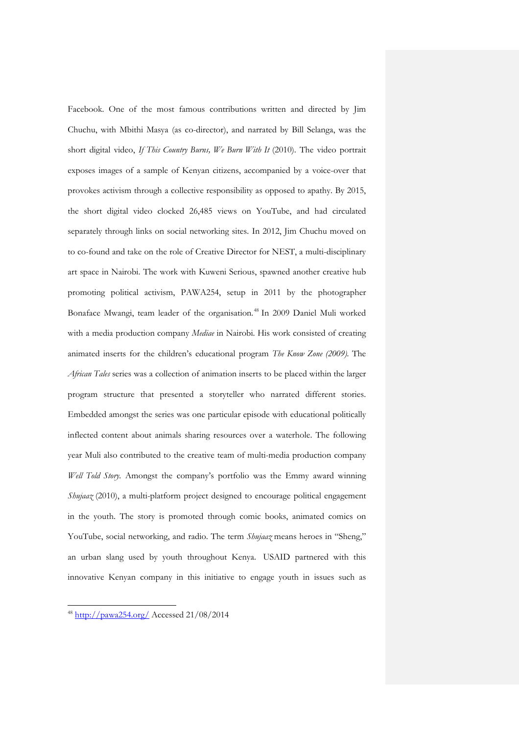Facebook. One of the most famous contributions written and directed by Jim Chuchu, with Mbithi Masya (as co-director), and narrated by Bill Selanga, was the short digital video, *If This Country Burns, We Burn With It* (2010). The video portrait exposes images of a sample of Kenyan citizens, accompanied by a voice-over that provokes activism through a collective responsibility as opposed to apathy. By 2015, the short digital video clocked 26,485 views on YouTube, and had circulated separately through links on social networking sites. In 2012, Jim Chuchu moved on to co-found and take on the role of Creative Director for NEST, a multi-disciplinary art space in Nairobi. The work with Kuweni Serious, spawned another creative hub promoting political activism, PAWA254, setup in 2011 by the photographer Bonaface Mwangi, team leader of the organisation.<sup>[48](#page-25-0)</sup> In 2009 Daniel Muli worked with a media production company *Mediae* in Nairobi. His work consisted of creating animated inserts for the children's educational program *The Know Zone (2009).* The *African Tales* series was a collection of animation inserts to be placed within the larger program structure that presented a storyteller who narrated different stories. Embedded amongst the series was one particular episode with educational politically inflected content about animals sharing resources over a waterhole. The following year Muli also contributed to the creative team of multi-media production company *Well Told Story.* Amongst the company's portfolio was the Emmy award winning *Shujaaz* (2010), a multi-platform project designed to encourage political engagement in the youth. The story is promoted through comic books, animated comics on YouTube, social networking, and radio. The term *Shujaaz* means heroes in "Sheng," an urban slang used by youth throughout Kenya. USAID partnered with this innovative Kenyan company in this initiative to engage youth in issues such as

<span id="page-25-0"></span><sup>48</sup> <http://pawa254.org/> Accessed 21/08/2014

-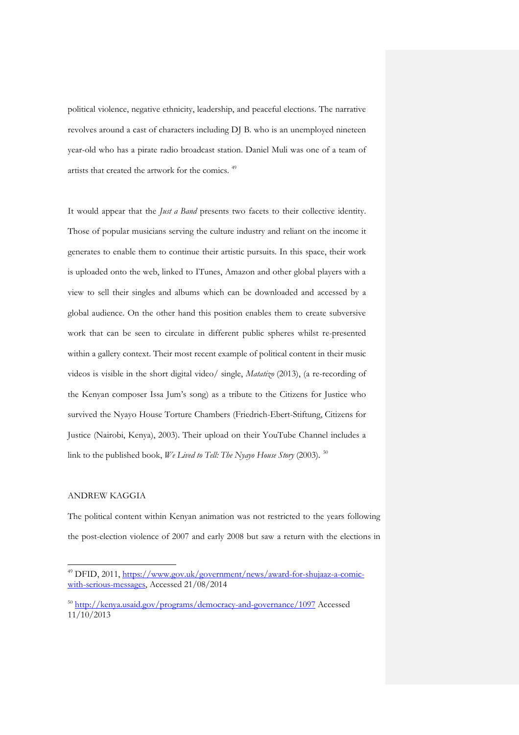political violence, negative ethnicity, leadership, and peaceful elections. The narrative revolves around a cast of characters including DJ B. who is an unemployed nineteen year-old who has a pirate radio broadcast station. Daniel Muli was one of a team of artists that created the artwork for the comics. [49](#page-26-0)

It would appear that the *Just a Band* presents two facets to their collective identity. Those of popular musicians serving the culture industry and reliant on the income it generates to enable them to continue their artistic pursuits. In this space, their work is uploaded onto the web, linked to ITunes, Amazon and other global players with a view to sell their singles and albums which can be downloaded and accessed by a global audience. On the other hand this position enables them to create subversive work that can be seen to circulate in different public spheres whilst re-presented within a gallery context. Their most recent example of political content in their music videos is visible in the short digital video/ single, *Matatizo* (2013), (a re-recording of the Kenyan composer Issa Jum's song) as a tribute to the Citizens for Justice who survived the Nyayo House Torture Chambers (Friedrich-Ebert-Stiftung, Citizens for Justice (Nairobi, Kenya), 2003). Their upload on their YouTube Channel includes a link to the published book, *We Lived to Tell: The Nyayo House Story* (2003). [50](#page-26-1)

## ANDREW KAGGIA

 $\ddot{ }$ 

The political content within Kenyan animation was not restricted to the years following the post-election violence of 2007 and early 2008 but saw a return with the elections in

<sup>&</sup>lt;sup>49</sup> DFID, 2011, [https://www.gov.uk/government/news/award-for-shujaaz-a-comic](https://www.gov.uk/government/news/award-for-shujaaz-a-comic-with-serious-messages)[with-serious-messages,](https://www.gov.uk/government/news/award-for-shujaaz-a-comic-with-serious-messages) Accessed 21/08/2014

<span id="page-26-1"></span><span id="page-26-0"></span><sup>50</sup> <http://kenya.usaid.gov/programs/democracy-and-governance/1097> Accessed 11/10/2013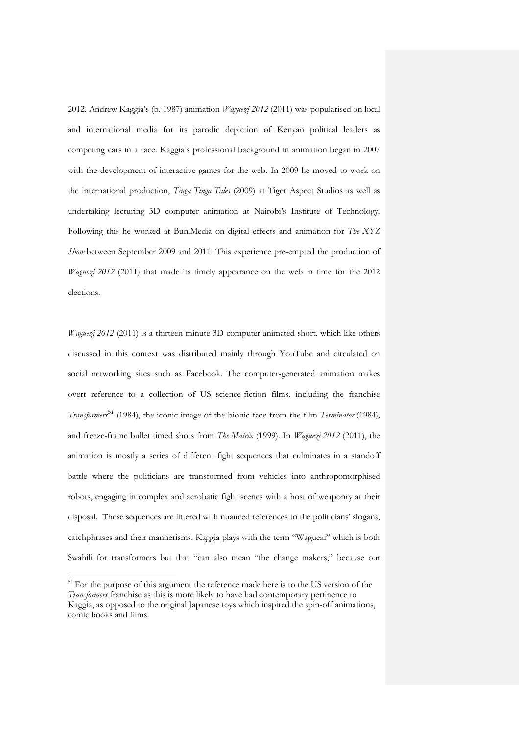2012. Andrew Kaggia's (b. 1987) animation *Waguezi 2012* (2011) was popularised on local and international media for its parodic depiction of Kenyan political leaders as competing cars in a race. Kaggia's professional background in animation began in 2007 with the development of interactive games for the web. In 2009 he moved to work on the international production, *Tinga Tinga Tales* (2009) at Tiger Aspect Studios as well as undertaking lecturing 3D computer animation at Nairobi's Institute of Technology. Following this he worked at BuniMedia on digital effects and animation for *The XYZ Show* between September 2009 and 2011. This experience pre-empted the production of *Waguezi 2012* (2011) that made its timely appearance on the web in time for the 2012 elections.

*Waguezi 2012* (2011) is a thirteen-minute 3D computer animated short, which like others discussed in this context was distributed mainly through YouTube and circulated on social networking sites such as Facebook. The computer-generated animation makes overt reference to a collection of US science-fiction films, including the franchise *Transformers[51](#page-27-0)* (1984), the iconic image of the bionic face from the film *Terminator* (1984), and freeze-frame bullet timed shots from *The Matrix* (1999)*.* In *Waguezi 2012* (2011), the animation is mostly a series of different fight sequences that culminates in a standoff battle where the politicians are transformed from vehicles into anthropomorphised robots, engaging in complex and acrobatic fight scenes with a host of weaponry at their disposal. These sequences are littered with nuanced references to the politicians' slogans, catchphrases and their mannerisms. Kaggia plays with the term "Waguezi" which is both Swahili for transformers but that "can also mean "the change makers," because our

<span id="page-27-0"></span><sup>&</sup>lt;sup>51</sup> For the purpose of this argument the reference made here is to the US version of the *Transformers* franchise as this is more likely to have had contemporary pertinence to Kaggia, as opposed to the original Japanese toys which inspired the spin-off animations, comic books and films.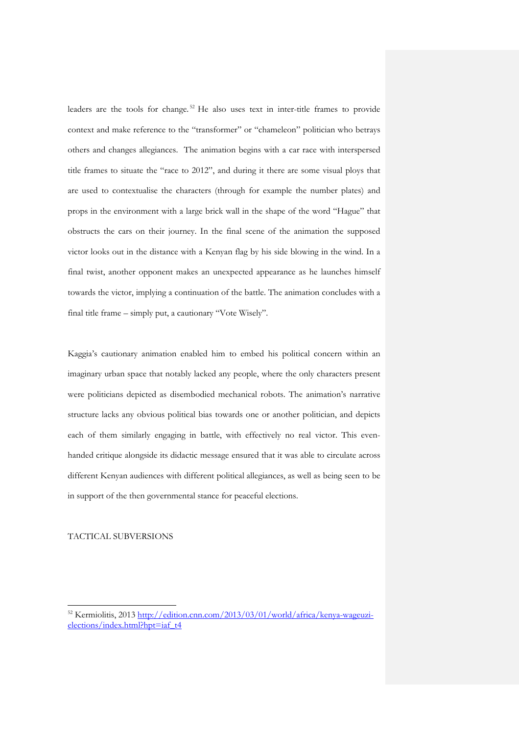leaders are the tools for change. [52](#page-28-0) He also uses text in inter-title frames to provide context and make reference to the "transformer" or "chameleon" politician who betrays others and changes allegiances. The animation begins with a car race with interspersed title frames to situate the "race to 2012", and during it there are some visual ploys that are used to contextualise the characters (through for example the number plates) and props in the environment with a large brick wall in the shape of the word "Hague" that obstructs the cars on their journey. In the final scene of the animation the supposed victor looks out in the distance with a Kenyan flag by his side blowing in the wind. In a final twist, another opponent makes an unexpected appearance as he launches himself towards the victor, implying a continuation of the battle. The animation concludes with a final title frame – simply put, a cautionary "Vote Wisely".

Kaggia's cautionary animation enabled him to embed his political concern within an imaginary urban space that notably lacked any people, where the only characters present were politicians depicted as disembodied mechanical robots. The animation's narrative structure lacks any obvious political bias towards one or another politician, and depicts each of them similarly engaging in battle, with effectively no real victor. This evenhanded critique alongside its didactic message ensured that it was able to circulate across different Kenyan audiences with different political allegiances, as well as being seen to be in support of the then governmental stance for peaceful elections.

TACTICAL SUBVERSIONS

-

<span id="page-28-0"></span><sup>52</sup> Kermiolitis, 2013 [http://edition.cnn.com/2013/03/01/world/africa/kenya-wageuzi](http://edition.cnn.com/2013/03/01/world/africa/kenya-wageuzi-elections/index.html?hpt=iaf_t4)[elections/index.html?hpt=iaf\\_t4](http://edition.cnn.com/2013/03/01/world/africa/kenya-wageuzi-elections/index.html?hpt=iaf_t4)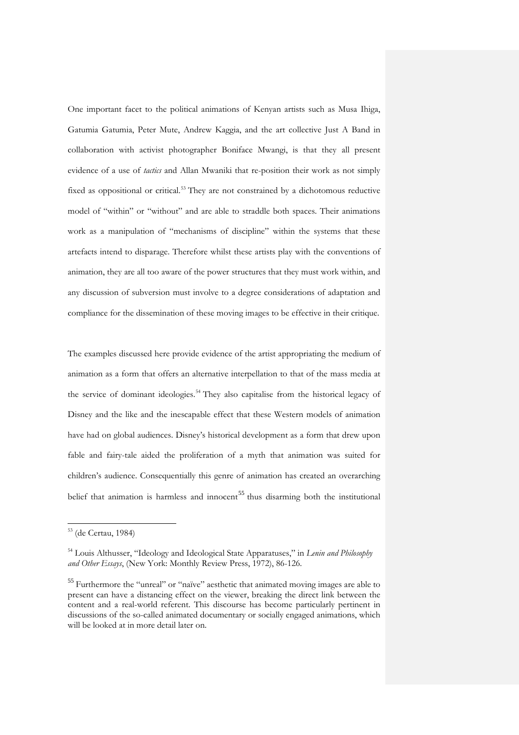One important facet to the political animations of Kenyan artists such as Musa Ihiga, Gatumia Gatumia, Peter Mute, Andrew Kaggia, and the art collective Just A Band in collaboration with activist photographer Boniface Mwangi, is that they all present evidence of a use of *tactics* and Allan Mwaniki that re-position their work as not simply fixed as oppositional or critical.<sup>[53](#page-29-0)</sup> They are not constrained by a dichotomous reductive model of "within" or "without" and are able to straddle both spaces. Their animations work as a manipulation of "mechanisms of discipline" within the systems that these artefacts intend to disparage. Therefore whilst these artists play with the conventions of animation, they are all too aware of the power structures that they must work within, and any discussion of subversion must involve to a degree considerations of adaptation and compliance for the dissemination of these moving images to be effective in their critique.

The examples discussed here provide evidence of the artist appropriating the medium of animation as a form that offers an alternative interpellation to that of the mass media at the service of dominant ideologies. [54](#page-29-1) They also capitalise from the historical legacy of Disney and the like and the inescapable effect that these Western models of animation have had on global audiences. Disney's historical development as a form that drew upon fable and fairy-tale aided the proliferation of a myth that animation was suited for children's audience. Consequentially this genre of animation has created an overarching belief that animation is harmless and innocent<sup>[55](#page-29-2)</sup> thus disarming both the institutional

j

<sup>53</sup> (de Certau, 1984)

<span id="page-29-0"></span><sup>54</sup> Louis Althusser, "Ideology and Ideological State Apparatuses," in *Lenin and Philosophy and Other Essays*, (New York: Monthly Review Press, 1972), 86-126.

<span id="page-29-2"></span><span id="page-29-1"></span><sup>&</sup>lt;sup>55</sup> Furthermore the "unreal" or "naïve" aesthetic that animated moving images are able to present can have a distancing effect on the viewer, breaking the direct link between the content and a real-world referent. This discourse has become particularly pertinent in discussions of the so-called animated documentary or socially engaged animations, which will be looked at in more detail later on.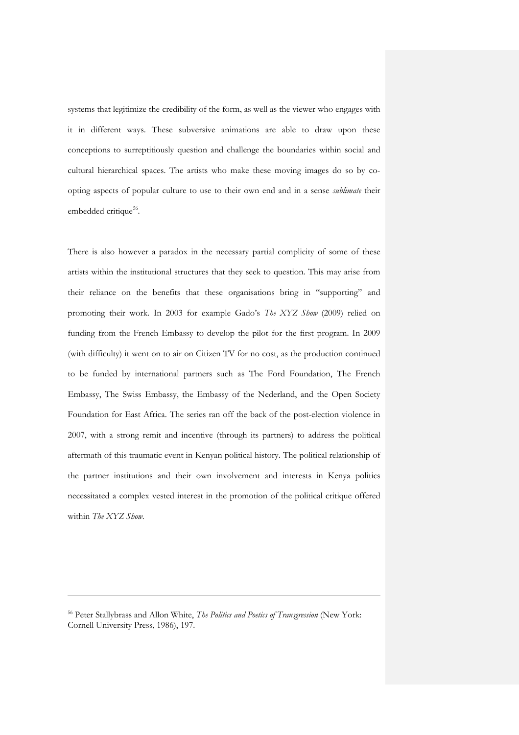systems that legitimize the credibility of the form, as well as the viewer who engages with it in different ways. These subversive animations are able to draw upon these conceptions to surreptitiously question and challenge the boundaries within social and cultural hierarchical spaces. The artists who make these moving images do so by coopting aspects of popular culture to use to their own end and in a sense *sublimate* their embedded critique<sup>56</sup>.

There is also however a paradox in the necessary partial complicity of some of these artists within the institutional structures that they seek to question. This may arise from their reliance on the benefits that these organisations bring in "supporting" and promoting their work. In 2003 for example Gado's *The XYZ Show* (2009) relied on funding from the French Embassy to develop the pilot for the first program. In 2009 (with difficulty) it went on to air on Citizen TV for no cost, as the production continued to be funded by international partners such as The Ford Foundation, The French Embassy, The Swiss Embassy, the Embassy of the Nederland, and the Open Society Foundation for East Africa. The series ran off the back of the post-election violence in 2007, with a strong remit and incentive (through its partners) to address the political aftermath of this traumatic event in Kenyan political history. The political relationship of the partner institutions and their own involvement and interests in Kenya politics necessitated a complex vested interest in the promotion of the political critique offered within *The XYZ Show.* 

<span id="page-30-0"></span><sup>56</sup> Peter Stallybrass and Allon White, *The Politics and Poetics of Transgression* (New York: Cornell University Press, 1986), 197.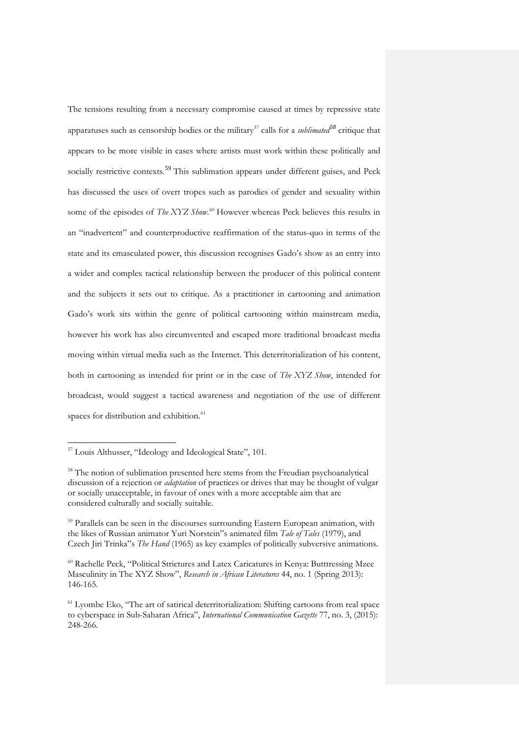The tensions resulting from a necessary compromise caused at times by repressive state apparatuses such as censorship bodies or the military<sup>[57](#page-31-0)</sup> calls for a *sublimated*<sup>[58](#page-31-1)</sup> critique that appears to be more visible in cases where artists must work within these politically and socially restrictive contexts.<sup>[59](#page-31-2)</sup> This sublimation appears under different guises, and Peck has discussed the uses of overt tropes such as parodies of gender and sexuality within some of the episodes of *The XYZ Show*.<sup>[60](#page-31-3)</sup> However whereas Peck believes this results in an "inadvertent" and counterproductive reaffirmation of the status-quo in terms of the state and its emasculated power, this discussion recognises Gado's show as an entry into a wider and complex tactical relationship between the producer of this political content and the subjects it sets out to critique. As a practitioner in cartooning and animation Gado's work sits within the genre of political cartooning within mainstream media, however his work has also circumvented and escaped more traditional broadcast media moving within virtual media such as the Internet. This deterritorialization of his content, both in cartooning as intended for print or in the case of *The XYZ Show*, intended for broadcast, would suggest a tactical awareness and negotiation of the use of different spaces for distribution and exhibition.<sup>[61](#page-31-4)</sup>

-

<sup>&</sup>lt;sup>57</sup> Louis Althusser, "Ideology and Ideological State", 101.

<span id="page-31-1"></span><span id="page-31-0"></span><sup>&</sup>lt;sup>58</sup> The notion of sublimation presented here stems from the Freudian psychoanalytical discussion of a rejection or *adaptation* of practices or drives that may be thought of vulgar or socially unacceptable, in favour of ones with a more acceptable aim that are considered culturally and socially suitable.

<sup>&</sup>lt;sup>59</sup> Parallels can be seen in the discourses surrounding Eastern European animation, with the likes of Russian animator Yuri Norstein"s animated film *Tale of Tales* (1979), and Czech Jiri Trinka"s *The Hand* (1965) as key examples of politically subversive animations.

<span id="page-31-2"></span><sup>60</sup> Rachelle Peck, "Political Strictures and Latex Caricatures in Kenya: Butttressing Mzee Masculinity in The XYZ Show", *Research in African Literatures* 44, no. 1 (Spring 2013): 146-165.

<span id="page-31-4"></span><span id="page-31-3"></span><sup>&</sup>lt;sup>61</sup> Lyombe Eko, "The art of satirical deterritorialization: Shifting cartoons from real space to cyberspace in Sub-Saharan Africa", *International Communication Gazette* 77, no. 3, (2015): 248-266.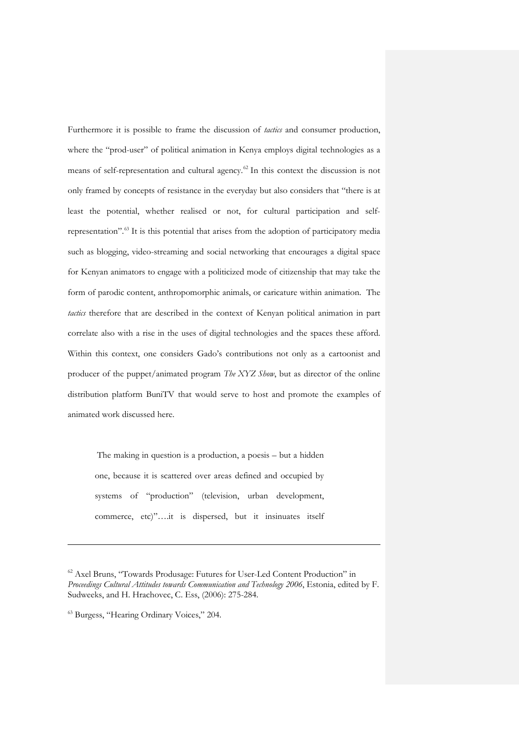Furthermore it is possible to frame the discussion of *tactics* and consumer production, where the "prod-user" of political animation in Kenya employs digital technologies as a means of self-representation and cultural agency.[62](#page-32-0) In this context the discussion is not only framed by concepts of resistance in the everyday but also considers that "there is at least the potential, whether realised or not, for cultural participation and selfrepresentation". [63](#page-32-1) It is this potential that arises from the adoption of participatory media such as blogging, video-streaming and social networking that encourages a digital space for Kenyan animators to engage with a politicized mode of citizenship that may take the form of parodic content, anthropomorphic animals, or caricature within animation. The *tactics* therefore that are described in the context of Kenyan political animation in part correlate also with a rise in the uses of digital technologies and the spaces these afford. Within this context, one considers Gado's contributions not only as a cartoonist and producer of the puppet/animated program *The XYZ Show*, but as director of the online distribution platform BuniTV that would serve to host and promote the examples of animated work discussed here.

The making in question is a production, a poesis – but a hidden one, because it is scattered over areas defined and occupied by systems of "production" (television, urban development, commerce, etc)"….it is dispersed, but it insinuates itself

<sup>62</sup> Axel Bruns, "Towards Produsage: Futures for User-Led Content Production" in *Proceedings Cultural Attitudes towards Communication and Technology 2006*, Estonia, edited by F. Sudweeks, and H. Hrachovec, C. Ess, (2006): 275-284.

<span id="page-32-1"></span><span id="page-32-0"></span><sup>&</sup>lt;sup>63</sup> Burgess, "Hearing Ordinary Voices," 204.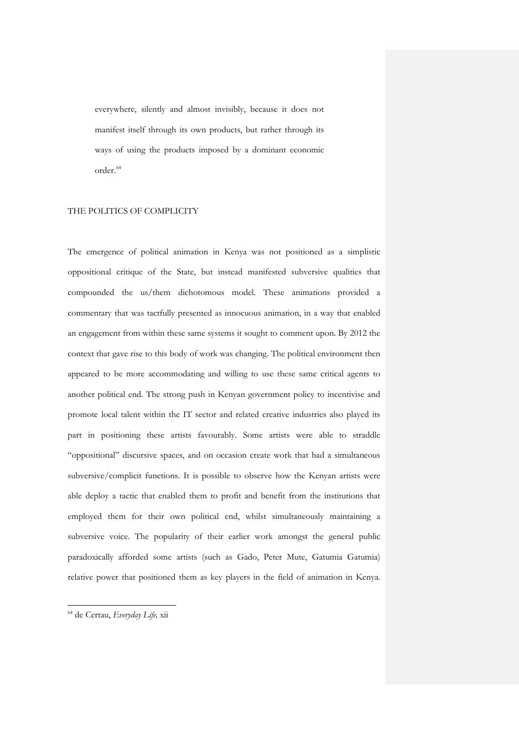everywhere, silently and almost invisibly, because it does not manifest itself through its own products, but rather through its ways of using the products imposed by a dominant economic order. [64](#page-33-0)

## THE POLITICS OF COMPLICITY

The emergence of political animation in Kenya was not positioned as a simplistic oppositional critique of the State, but instead manifested subversive qualities that compounded the us/them dichotomous model. These animations provided a commentary that was tactfully presented as innocuous animation, in a way that enabled an engagement from within these same systems it sought to comment upon. By 2012 the context that gave rise to this body of work was changing. The political environment then appeared to be more accommodating and willing to use these same critical agents to another political end. The strong push in Kenyan government policy to incentivise and promote local talent within the IT sector and related creative industries also played its part in positioning these artists favourably. Some artists were able to straddle "oppositional" discursive spaces, and on occasion create work that had a simultaneous subversive/complicit functions. It is possible to observe how the Kenyan artists were able deploy a tactic that enabled them to profit and benefit from the institutions that employed them for their own political end, whilst simultaneously maintaining a subversive voice. The popularity of their earlier work amongst the general public paradoxically afforded some artists (such as Gado, Peter Mute, Gatumia Gatumia) relative power that positioned them as key players in the field of animation in Kenya.

<span id="page-33-0"></span><sup>64</sup> de Certau, *Everyday Life,* xii

-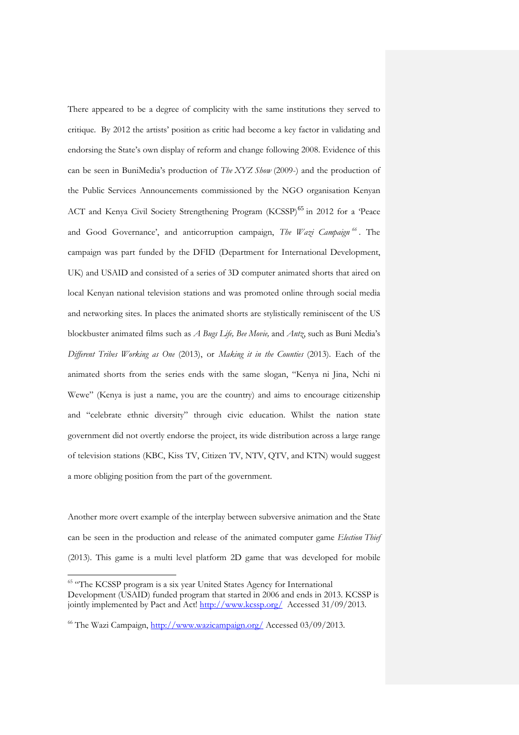There appeared to be a degree of complicity with the same institutions they served to critique. By 2012 the artists' position as critic had become a key factor in validating and endorsing the State's own display of reform and change following 2008. Evidence of this can be seen in BuniMedia's production of *The XYZ Show* (2009-) and the production of the Public Services Announcements commissioned by the NGO organisation Kenyan ACT and Kenya Civil Society Strengthening Program (KCSSP)<sup>[65](#page-34-0)</sup> in 2012 for a 'Peace and Good Governance', and anticorruption campaign, *The Wazi Campaign [66](#page-34-1)* . The campaign was part funded by the DFID (Department for International Development, UK) and USAID and consisted of a series of 3D computer animated shorts that aired on local Kenyan national television stations and was promoted online through social media and networking sites. In places the animated shorts are stylistically reminiscent of the US blockbuster animated films such as *A Bugs Life, Bee Movie,* and *Antz*, such as Buni Media's *Different Tribes Working as One* (2013), or *Making it in the Counties* (2013). Each of the animated shorts from the series ends with the same slogan, "Kenya ni Jina, Nchi ni Wewe" (Kenya is just a name, you are the country) and aims to encourage citizenship and "celebrate ethnic diversity" through civic education. Whilst the nation state government did not overtly endorse the project, its wide distribution across a large range of television stations (KBC, Kiss TV, Citizen TV, NTV, QTV, and KTN) would suggest a more obliging position from the part of the government.

Another more overt example of the interplay between subversive animation and the State can be seen in the production and release of the animated computer game *Election Thief*  (2013). This game is a multi level platform 2D game that was developed for mobile

<sup>&</sup>lt;sup>65</sup> "The KCSSP program is a six year United States Agency for International Development (USAID) funded program that started in 2006 and ends in 2013. KCSSP is jointly implemented by Pact and Act!<http://www.kcssp.org/>Accessed 31/09/2013.

<span id="page-34-1"></span><span id="page-34-0"></span><sup>&</sup>lt;sup>66</sup> The Wazi Campaign,<http://www.wazicampaign.org/> Accessed 03/09/2013.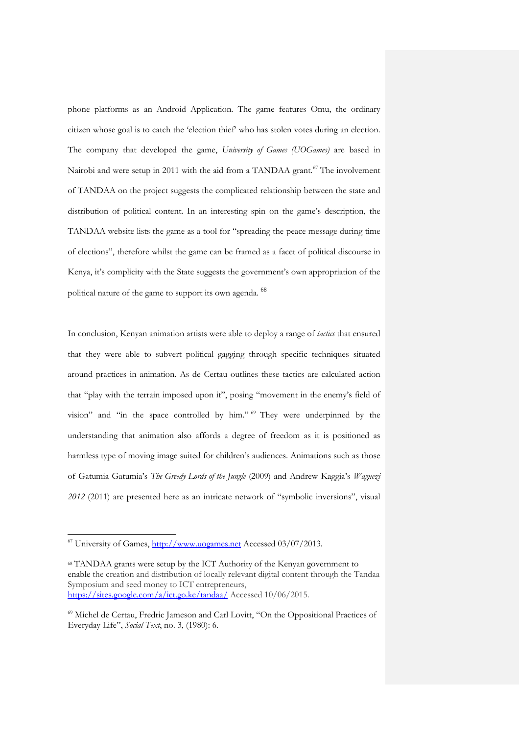phone platforms as an Android Application. The game features Omu, the ordinary citizen whose goal is to catch the 'election thief' who has stolen votes during an election. The company that developed the game, *University of Games (UOGames)* are based in Nairobi and were setup in 2011 with the aid from a TANDAA grant.<sup>[67](#page-35-0)</sup> The involvement of TANDAA on the project suggests the complicated relationship between the state and distribution of political content. In an interesting spin on the game's description, the TANDAA website lists the game as a tool for "spreading the peace message during time of elections", therefore whilst the game can be framed as a facet of political discourse in Kenya, it's complicity with the State suggests the government's own appropriation of the political nature of the game to support its own agenda. [68](#page-35-1)

In conclusion, Kenyan animation artists were able to deploy a range of *tactics* that ensured that they were able to subvert political gagging through specific techniques situated around practices in animation. As de Certau outlines these tactics are calculated action that "play with the terrain imposed upon it", posing "movement in the enemy's field of vision" and "in the space controlled by him." [69](#page-35-2) They were underpinned by the understanding that animation also affords a degree of freedom as it is positioned as harmless type of moving image suited for children's audiences. Animations such as those of Gatumia Gatumia's *The Greedy Lords of the Jungle* (2009) and Andrew Kaggia's *Waguezi 2012* (2011) are presented here as an intricate network of "symbolic inversions", visual

<sup>&</sup>lt;sup>67</sup> University of Games, [http://www.uogames.net](http://www.uogames.net/) Accessed 03/07/2013.

<span id="page-35-0"></span><sup>68</sup> TANDAA grants were setup by the ICT Authority of the Kenyan government to enable the creation and distribution of locally relevant digital content through the Tandaa Symposium and seed money to ICT entrepreneurs, <https://sites.google.com/a/ict.go.ke/tandaa/> Accessed 10/06/2015.

<span id="page-35-2"></span><span id="page-35-1"></span><sup>69</sup> Michel de Certau, Fredric Jameson and Carl Lovitt, "On the Oppositional Practices of Everyday Life", *Social Text*, no. 3, (1980): 6.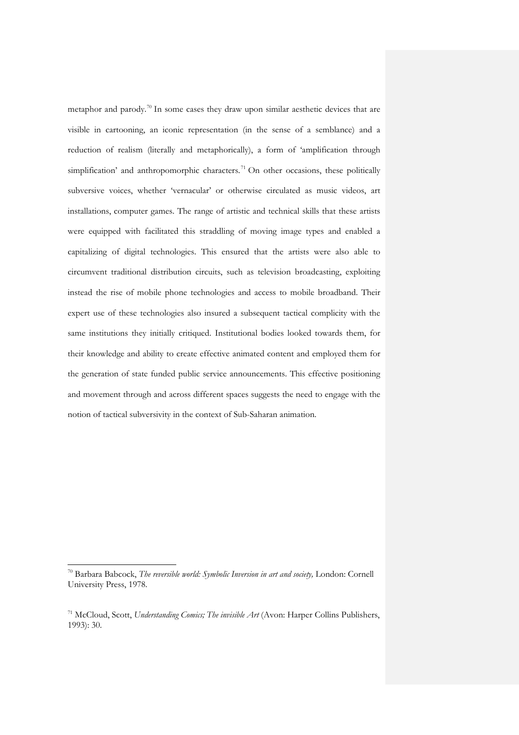metaphor and parody.<sup>[70](#page-36-0)</sup> In some cases they draw upon similar aesthetic devices that are visible in cartooning, an iconic representation (in the sense of a semblance) and a reduction of realism (literally and metaphorically), a form of 'amplification through simplification' and anthropomorphic characters.<sup>[71](#page-36-1)</sup> On other occasions, these politically subversive voices, whether 'vernacular' or otherwise circulated as music videos, art installations, computer games. The range of artistic and technical skills that these artists were equipped with facilitated this straddling of moving image types and enabled a capitalizing of digital technologies. This ensured that the artists were also able to circumvent traditional distribution circuits, such as television broadcasting, exploiting instead the rise of mobile phone technologies and access to mobile broadband. Their expert use of these technologies also insured a subsequent tactical complicity with the same institutions they initially critiqued. Institutional bodies looked towards them, for their knowledge and ability to create effective animated content and employed them for the generation of state funded public service announcements. This effective positioning and movement through and across different spaces suggests the need to engage with the notion of tactical subversivity in the context of Sub-Saharan animation.

<sup>70</sup> Barbara Babcock, *The reversible world: Symbolic Inversion in art and society,* London: Cornell University Press, 1978.

<span id="page-36-1"></span><span id="page-36-0"></span><sup>71</sup> McCloud, Scott, *Understanding Comics; The invisible Art* (Avon: Harper Collins Publishers, 1993): 30.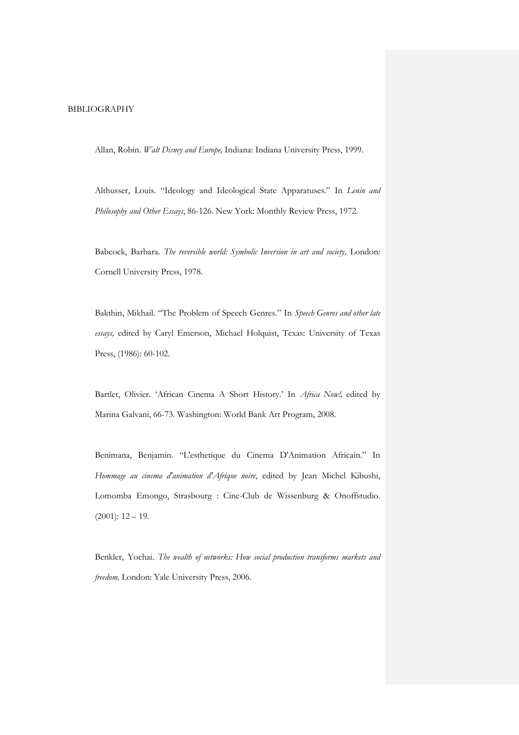## BIBLIOGRAPHY

Allan, Robin. *Walt Disney and Europe,* Indiana: Indiana University Press, 1999.

Althusser, Louis. "Ideology and Ideological State Apparatuses." In *Lenin and Philosophy and Other Essays*, 86-126. New York: Monthly Review Press, 1972.

Babcock, Barbara. *The reversible world: Symbolic Inversion in art and society,* London: Cornell University Press, 1978.

Bakthin, Mikhail. "The Problem of Speech Genres." In *Speech Genres and other late essays,* edited by Caryl Emerson, Michael Holquist, Texas: University of Texas Press, (1986): 60-102.

Bartlet, Olivier. 'African Cinema A Short History.' In *Africa Now!,* edited by Marina Galvani, 66-73. Washington: World Bank Art Program, 2008.

Benimana, Benjamin. "L'esthetique du Cinema D'Animation Africain." In *Hommage au cinema d'animation d'Afrique noire*, edited by Jean Michel Kibushi, Lomomba Emongo, Strasbourg : Cine-Club de Wissenburg & Onoffstudio.  $(2001): 12 - 19.$ 

Benkler, Yochai. *The wealth of networks: How social production transforms markets and freedom,* London: Yale University Press, 2006.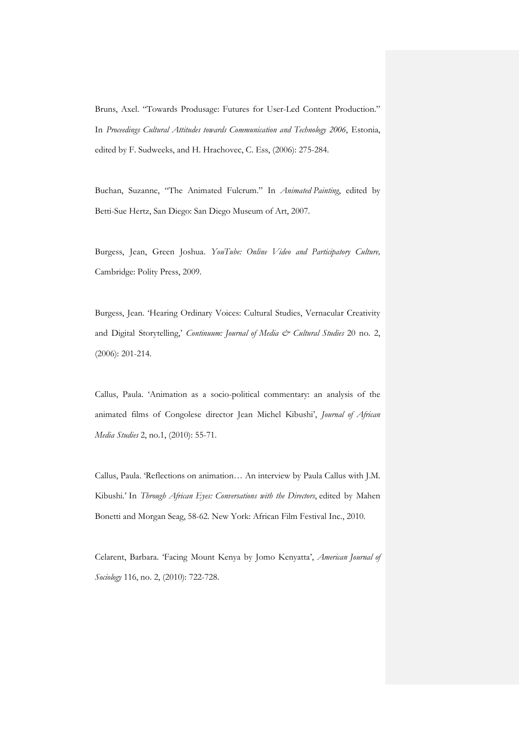Bruns, Axel. "Towards Produsage: Futures for User-Led Content Production." In *Proceedings Cultural Attitudes towards Communication and Technology 2006*, Estonia, edited by F. Sudweeks, and H. Hrachovec, C. Ess, (2006): 275-284.

Buchan, Suzanne, "The Animated Fulcrum." In *Animated Painting*, edited by Betti-Sue Hertz, San Diego: San Diego Museum of Art, 2007.

Burgess, Jean, Green Joshua. *YouTube: Online Video and Participatory Culture,*  Cambridge: Polity Press, 2009.

Burgess, Jean. 'Hearing Ordinary Voices: Cultural Studies, Vernacular Creativity and Digital Storytelling,' *Continuum: Journal of Media & Cultural Studies* 20 no. 2, (2006): 201-214.

Callus, Paula. 'Animation as a socio-political commentary: an analysis of the animated films of Congolese director Jean Michel Kibushi', *Journal of African Media Studies* 2, no.1, (2010): 55-71.

Callus, Paula. 'Reflections on animation… An interview by Paula Callus with J.M. Kibushi.' In *Through African Eyes: Conversations with the Directors*, edited by Mahen Bonetti and Morgan Seag, 58-62. New York: African Film Festival Inc., 2010.

Celarent, Barbara. 'Facing Mount Kenya by Jomo Kenyatta', *American Journal of Sociology* 116, no. 2, (2010): 722-728.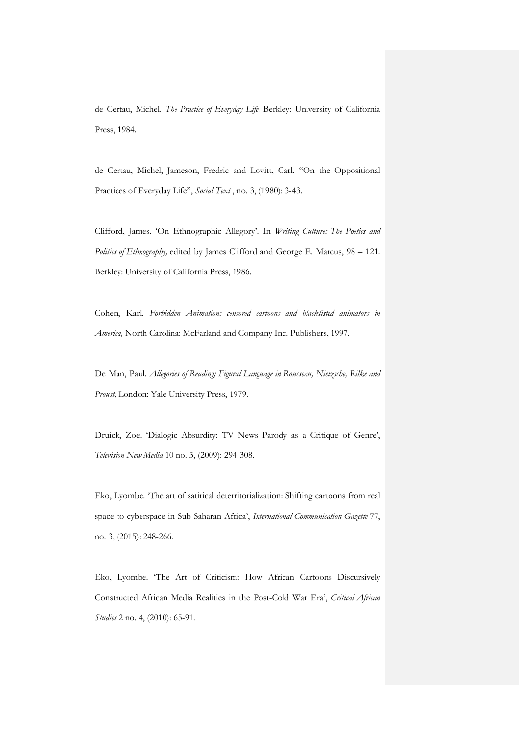de Certau, Michel. *The Practice of Everyday Life,* Berkley: University of California Press, 1984.

de Certau, Michel, Jameson, Fredric and Lovitt, Carl. "On the Oppositional Practices of Everyday Life", *Social Text* , no. 3, (1980): 3-43.

Clifford, James. 'On Ethnographic Allegory'. In *Writing Culture: The Poetics and Politics of Ethnography,* edited by James Clifford and George E. Marcus, 98 – 121. Berkley: University of California Press, 1986.

Cohen, Karl. *Forbidden Animation: censored cartoons and blacklisted animators in America,* North Carolina: McFarland and Company Inc. Publishers, 1997.

De Man, Paul. *Allegories of Reading; Figural Language in Rousseau, Nietzsche, Rilke and Proust*, London: Yale University Press, 1979.

Druick, Zoe. 'Dialogic Absurdity: TV News Parody as a Critique of Genre', *Television New Media* 10 no. 3, (2009): 294-308.

Eko, Lyombe. 'The art of satirical deterritorialization: Shifting cartoons from real space to cyberspace in Sub-Saharan Africa', *International Communication Gazette* 77, no. 3, (2015): 248-266.

Eko, Lyombe. 'The Art of Criticism: How African Cartoons Discursively Constructed African Media Realities in the Post-Cold War Era', *Critical African Studies* 2 no. 4, (2010): 65-91.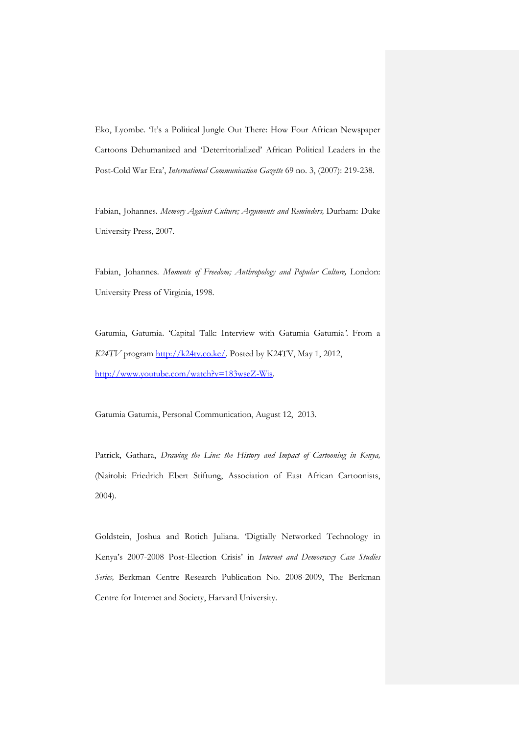Eko, Lyombe. 'It's a Political Jungle Out There: How Four African Newspaper Cartoons Dehumanized and 'Deterritorialized' African Political Leaders in the Post-Cold War Era', *International Communication Gazette* 69 no. 3, (2007): 219-238.

Fabian, Johannes. *Memory Against Culture; Arguments and Reminders,* Durham: Duke University Press, 2007.

Fabian, Johannes. *Moments of Freedom; Anthropology and Popular Culture,* London: University Press of Virginia, 1998.

Gatumia, Gatumia. 'Capital Talk: Interview with Gatumia Gatumia*'*. From a *K24TV* program [http://k24tv.co.ke/.](http://k24tv.co.ke/) Posted by K24TV, May 1, 2012, [http://www.youtube.com/watch?v=183wseZ-Wis.](http://www.youtube.com/watch?v=183wseZ-Wis)

Gatumia Gatumia, Personal Communication, August 12, 2013.

Patrick, Gathara, *Drawing the Line: the History and Impact of Cartooning in Kenya,* (Nairobi: Friedrich Ebert Stiftung, Association of East African Cartoonists, 2004).

Goldstein, Joshua and Rotich Juliana. 'Digtially Networked Technology in Kenya's 2007-2008 Post-Election Crisis' in *Internet and Democraxy Case Studies Series,* Berkman Centre Research Publication No. 2008-2009, The Berkman Centre for Internet and Society, Harvard University.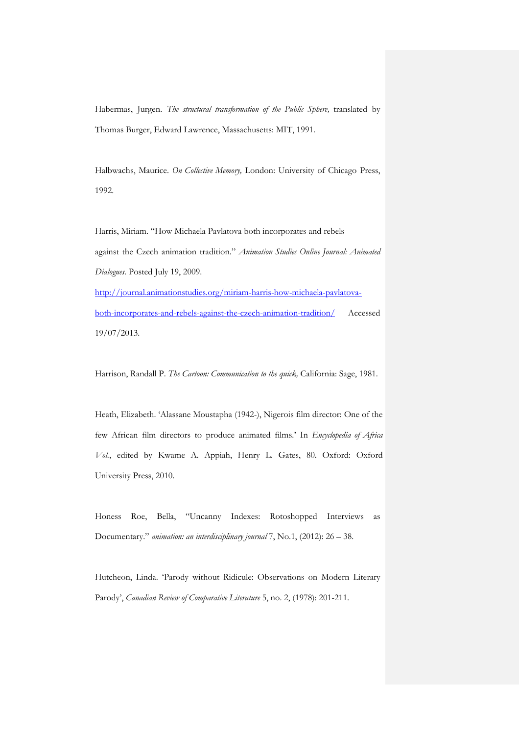Habermas, Jurgen. *The structural transformation of the Public Sphere*, translated by Thomas Burger, Edward Lawrence, Massachusetts: MIT, 1991.

Halbwachs, Maurice. *On Collective Memory,* London: University of Chicago Press, 1992.

Harris, Miriam. "How Michaela Pavlatova both incorporates and rebels against the Czech animation tradition." *Animation Studies Online Journal: Animated Dialogues.* Posted July 19, 2009. [http://journal.animationstudies.org/miriam-harris-how-michaela-pavlatova](http://journal.animationstudies.org/miriam-harris-how-michaela-pavlatova-both-incorporates-and-rebels-against-the-czech-animation-tradition/)[both-incorporates-and-rebels-against-the-czech-animation-tradition/](http://journal.animationstudies.org/miriam-harris-how-michaela-pavlatova-both-incorporates-and-rebels-against-the-czech-animation-tradition/) Accessed 19/07/2013.

Harrison, Randall P. *The Cartoon: Communication to the quick,* California: Sage, 1981.

Heath, Elizabeth. 'Alassane Moustapha (1942-), Nigerois film director: One of the few African film directors to produce animated films.' In *Encyclopedia of Africa Vol.*, edited by Kwame A. Appiah, Henry L. Gates, 80. Oxford: Oxford University Press, 2010.

Honess Roe, Bella, "Uncanny Indexes: Rotoshopped Interviews as Documentary." *animation: an interdisciplinary journal* 7, No.1, (2012): 26 – 38.

Hutcheon, Linda. 'Parody without Ridicule: Observations on Modern Literary Parody', *Canadian Review of Comparative Literature* 5, no. 2, (1978): 201-211.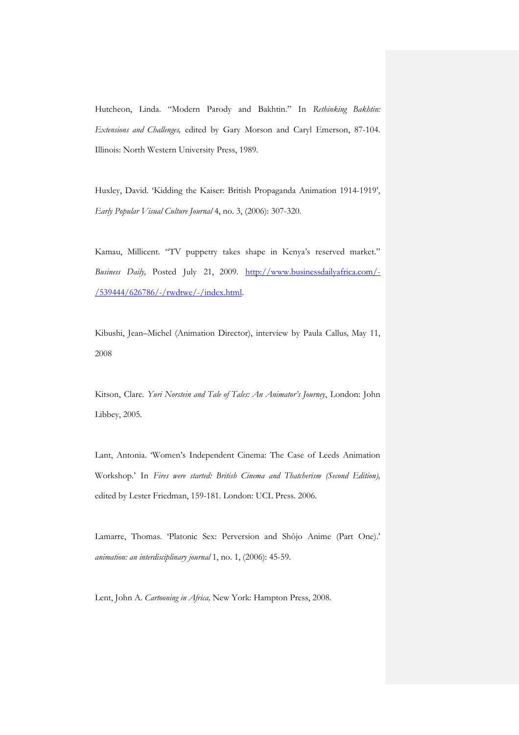Hutcheon, Linda. "Modern Parody and Bakhtin." In *Rethinking Bakhtin: Extensions and Challenges,* edited by Gary Morson and Caryl Emerson, 87-104. Illinois: North Western University Press, 1989.

Huxley, David. 'Kidding the Kaiser: British Propaganda Animation 1914-1919', *Early Popular Visual Culture Journal* 4, no. 3, (2006): 307-320.

Kamau, Millicent. "TV puppetry takes shape in Kenya's reserved market." *Business Daily,* Posted July 21, 2009. [http://www.businessdailyafrica.com/-](http://www.businessdailyafrica.com/-/539444/626786/-/rwdtwe/-/index.html) [/539444/626786/-/rwdtwe/-/index.html.](http://www.businessdailyafrica.com/-/539444/626786/-/rwdtwe/-/index.html)

Kibushi, Jean–Michel (Animation Director), interview by Paula Callus*,* May 11, 2008

Kitson, Clare. *Yuri Norstein and Tale of Tales: An Animator's Journey*, London: John Libbey, 2005.

Lant, Antonia. 'Women's Independent Cinema: The Case of Leeds Animation Workshop.' In *Fires were started: British Cinema and Thatcherism (Second Edition),*  edited by Lester Friedman, 159-181. London: UCL Press. 2006.

Lamarre, Thomas. 'Platonic Sex: Perversion and Shôjo Anime (Part One).' *animation: an interdisciplinary journal* 1, no. 1, (2006): 45-59.

Lent, John A. *Cartooning in Africa,* New York: Hampton Press, 2008.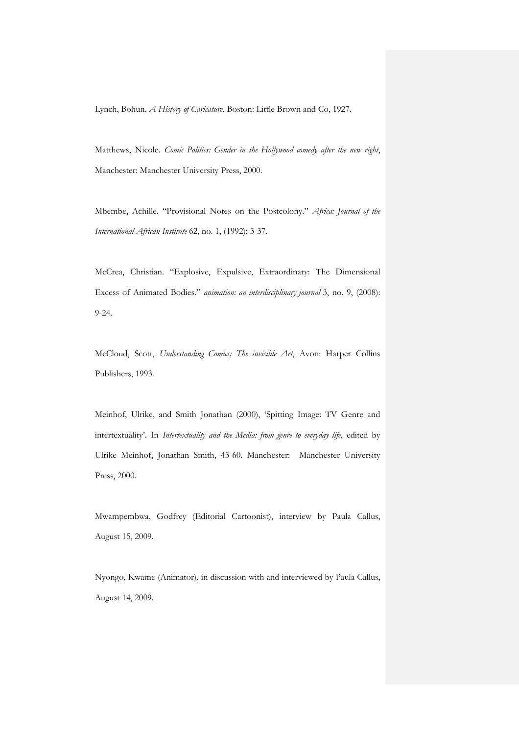Lynch, Bohun. *A History of Caricature*, Boston: Little Brown and Co, 1927.

Matthews, Nicole. *Comic Politics: Gender in the Hollywood comedy after the new right*, Manchester: Manchester University Press, 2000.

Mbembe, Achille. "Provisional Notes on the Postcolony." *Africa: Journal of the International African Institute* 62, no. 1, (1992): 3-37.

McCrea, Christian. "Explosive, Expulsive, Extraordinary: The Dimensional Excess of Animated Bodies." *animation: an interdisciplinary journal* 3, no. 9, (2008): 9-24.

McCloud, Scott, *Understanding Comics; The invisible Art*, Avon: Harper Collins Publishers, 1993.

Meinhof, Ulrike, and Smith Jonathan (2000), 'Spitting Image: TV Genre and intertextuality'. In *Intertextuality and the Media: from genre to everyday life*, edited by Ulrike Meinhof, Jonathan Smith, 43-60. Manchester: Manchester University Press, 2000.

Mwampembwa, Godfrey (Editorial Cartoonist), interview by Paula Callus, August 15, 2009.

Nyongo, Kwame (Animator), in discussion with and interviewed by Paula Callus, August 14, 2009.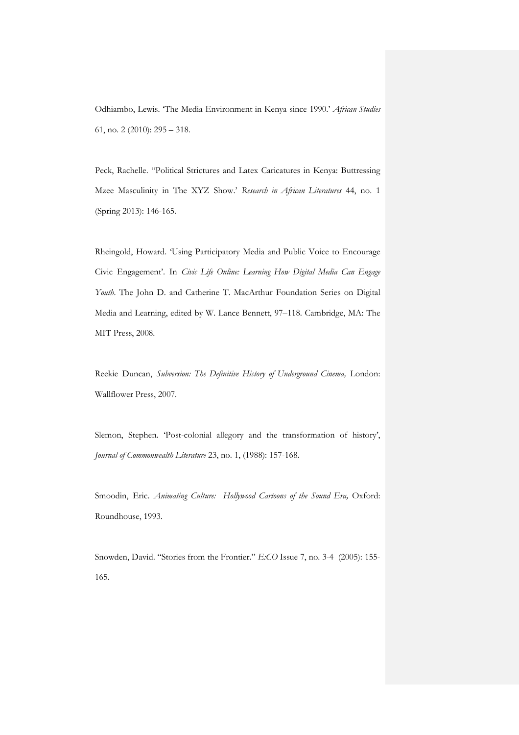Odhiambo, Lewis. 'The Media Environment in Kenya since 1990.' *African Studies* 61, no. 2 (2010): 295 – 318.

Peck, Rachelle. "Political Strictures and Latex Caricatures in Kenya: Buttressing Mzee Masculinity in The XYZ Show.' *Research in African Literatures* 44, no. 1 (Spring 2013): 146-165.

Rheingold, Howard. 'Using Participatory Media and Public Voice to Encourage Civic Engagement'. In *Civic Life Online: Learning How Digital Media Can Engage Youth*. The John D. and Catherine T. MacArthur Foundation Series on Digital Media and Learning, edited by W. Lance Bennett, 97–118. Cambridge, MA: The MIT Press, 2008.

Reekie Duncan, *Subversion: The Definitive History of Underground Cinema,* London: Wallflower Press, 2007.

Slemon, Stephen. 'Post-colonial allegory and the transformation of history', *Journal of Commonwealth Literature* 23, no. 1, (1988): 157-168.

Smoodin, Eric. Animating Culture: Hollywood Cartoons of the Sound Era, Oxford: Roundhouse, 1993.

Snowden, David. "Stories from the Frontier." *E:CO* Issue 7, no. 3-4 (2005): 155- 165.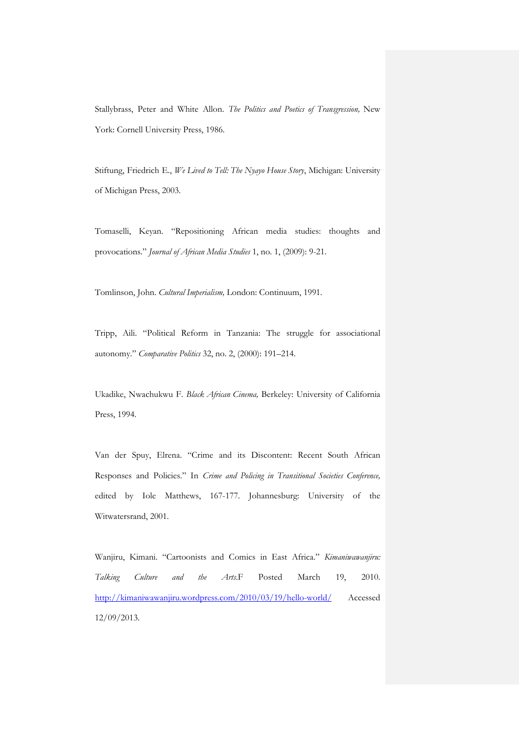Stallybrass, Peter and White Allon. *The Politics and Poetics of Transgression,* New York: Cornell University Press, 1986.

Stiftung, Friedrich E., *We Lived to Tell: The Nyayo House Story*, Michigan: University of Michigan Press, 2003.

Tomaselli, Keyan. "Repositioning African media studies: thoughts and provocations." *Journal of African Media Studies* 1, no. 1, (2009): 9-21.

Tomlinson, John. *Cultural Imperialism,* London: Continuum, 1991.

Tripp, Aili. "Political Reform in Tanzania: The struggle for associational autonomy." *Comparative Politics* 32, no. 2, (2000): 191–214.

Ukadike, Nwachukwu F. *Black African Cinema,* Berkeley: University of California Press, 1994.

Van der Spuy, Elrena. "Crime and its Discontent: Recent South African Responses and Policies." In *Crime and Policing in Transitional Societies Conference,*  edited by Iole Matthews, 167-177. Johannesburg: University of the Witwatersrand, 2001.

Wanjiru, Kimani. "Cartoonists and Comics in East Africa." *Kimaniwawanjiru: Talking Culture and the Arts*.F Posted March 19, 2010. <http://kimaniwawanjiru.wordpress.com/2010/03/19/hello-world/> Accessed 12/09/2013.